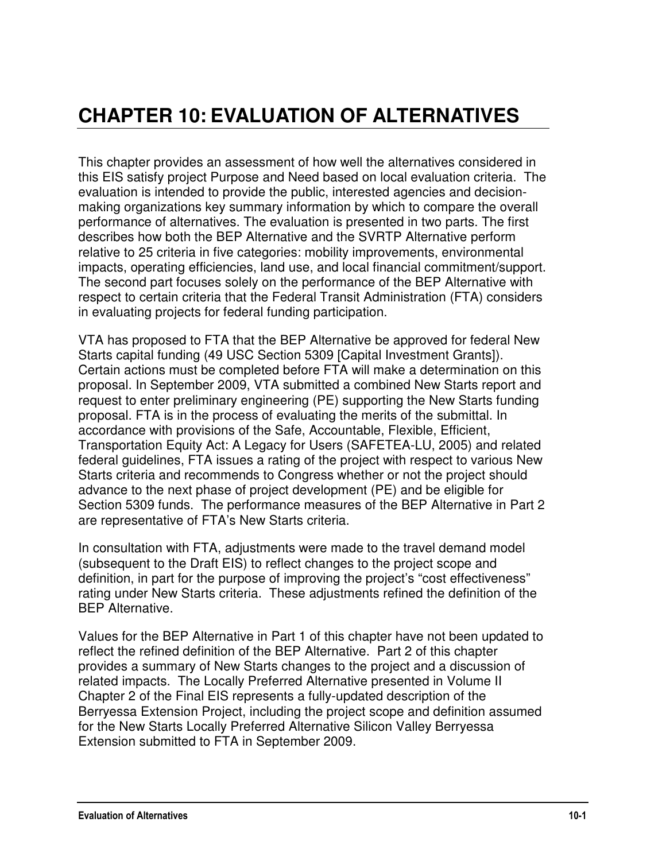# **CHAPTER 10: EVALUATION OF ALTERNATIVES**

This chapter provides an assessment of how well the alternatives considered in this EIS satisfy project Purpose and Need based on local evaluation criteria. The evaluation is intended to provide the public, interested agencies and decisionmaking organizations key summary information by which to compare the overall performance of alternatives. The evaluation is presented in two parts. The first describes how both the BEP Alternative and the SVRTP Alternative perform relative to 25 criteria in five categories: mobility improvements, environmental impacts, operating efficiencies, land use, and local financial commitment/support. The second part focuses solely on the performance of the BEP Alternative with respect to certain criteria that the Federal Transit Administration (FTA) considers in evaluating projects for federal funding participation.

VTA has proposed to FTA that the BEP Alternative be approved for federal New Starts capital funding (49 USC Section 5309 [Capital Investment Grants]). Certain actions must be completed before FTA will make a determination on this proposal. In September 2009, VTA submitted a combined New Starts report and request to enter preliminary engineering (PE) supporting the New Starts funding proposal. FTA is in the process of evaluating the merits of the submittal. In accordance with provisions of the Safe, Accountable, Flexible, Efficient, Transportation Equity Act: A Legacy for Users (SAFETEA-LU, 2005) and related federal guidelines, FTA issues a rating of the project with respect to various New Starts criteria and recommends to Congress whether or not the project should advance to the next phase of project development (PE) and be eligible for Section 5309 funds. The performance measures of the BEP Alternative in Part 2 are representative of FTA's New Starts criteria.

In consultation with FTA, adjustments were made to the travel demand model (subsequent to the Draft EIS) to reflect changes to the project scope and definition, in part for the purpose of improving the project's "cost effectiveness" rating under New Starts criteria. These adjustments refined the definition of the BEP Alternative.

Values for the BEP Alternative in Part 1 of this chapter have not been updated to reflect the refined definition of the BEP Alternative. Part 2 of this chapter provides a summary of New Starts changes to the project and a discussion of related impacts. The Locally Preferred Alternative presented in Volume II Chapter 2 of the Final EIS represents a fully-updated description of the Berryessa Extension Project, including the project scope and definition assumed for the New Starts Locally Preferred Alternative Silicon Valley Berryessa Extension submitted to FTA in September 2009.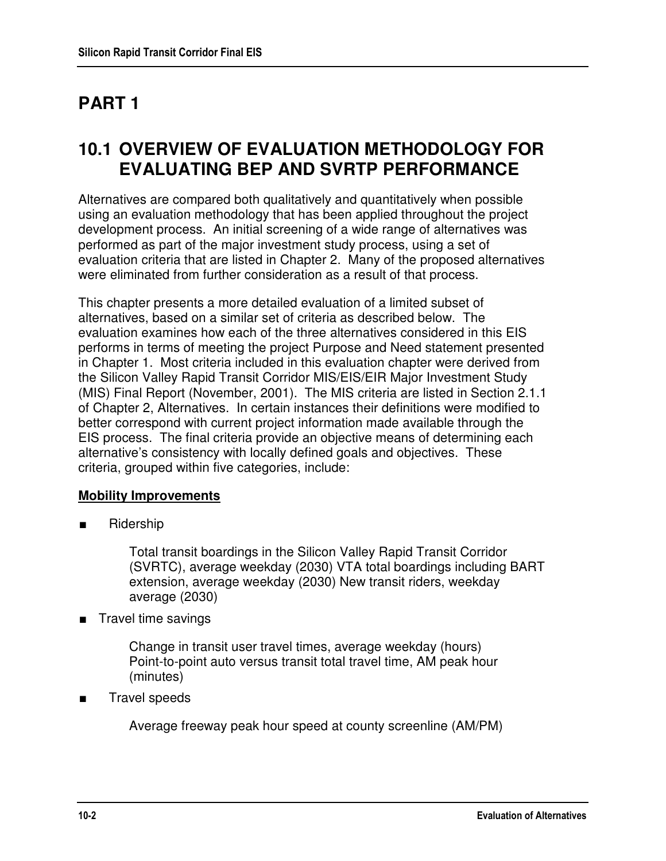# **PART 1**

# **10.1 OVERVIEW OF EVALUATION METHODOLOGY FOR EVALUATING BEP AND SVRTP PERFORMANCE**

Alternatives are compared both qualitatively and quantitatively when possible using an evaluation methodology that has been applied throughout the project development process. An initial screening of a wide range of alternatives was performed as part of the major investment study process, using a set of evaluation criteria that are listed in Chapter 2. Many of the proposed alternatives were eliminated from further consideration as a result of that process.

This chapter presents a more detailed evaluation of a limited subset of alternatives, based on a similar set of criteria as described below. The evaluation examines how each of the three alternatives considered in this EIS performs in terms of meeting the project Purpose and Need statement presented in Chapter 1. Most criteria included in this evaluation chapter were derived from the Silicon Valley Rapid Transit Corridor MIS/EIS/EIR Major Investment Study (MIS) Final Report (November, 2001). The MIS criteria are listed in Section 2.1.1 of Chapter 2, Alternatives. In certain instances their definitions were modified to better correspond with current project information made available through the EIS process. The final criteria provide an objective means of determining each alternative's consistency with locally defined goals and objectives. These criteria, grouped within five categories, include:

### **Mobility Improvements**

■ Ridership

Total transit boardings in the Silicon Valley Rapid Transit Corridor (SVRTC), average weekday (2030) VTA total boardings including BART extension, average weekday (2030) New transit riders, weekday average (2030)

■ Travel time savings

Change in transit user travel times, average weekday (hours) Point-to-point auto versus transit total travel time, AM peak hour (minutes)

■ Travel speeds

Average freeway peak hour speed at county screenline (AM/PM)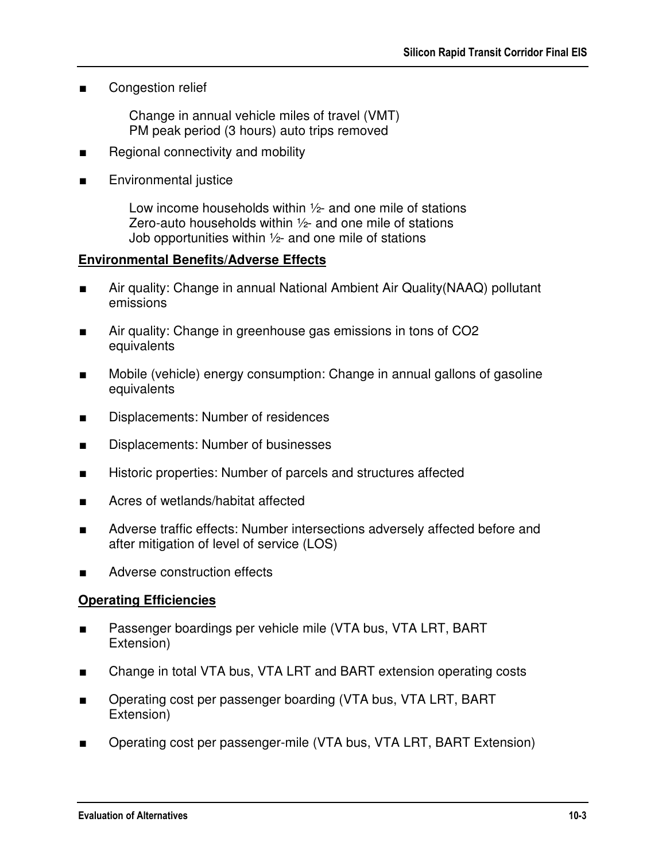■ Congestion relief

Change in annual vehicle miles of travel (VMT) PM peak period (3 hours) auto trips removed

- Regional connectivity and mobility
- Environmental justice

Low income households within ½- and one mile of stations Zero-auto households within ½- and one mile of stations Job opportunities within ½- and one mile of stations

#### **Environmental Benefits/Adverse Effects**

- Air quality: Change in annual National Ambient Air Quality(NAAQ) pollutant emissions
- Air quality: Change in greenhouse gas emissions in tons of CO2 equivalents
- Mobile (vehicle) energy consumption: Change in annual gallons of gasoline equivalents
- Displacements: Number of residences
- Displacements: Number of businesses
- Historic properties: Number of parcels and structures affected
- Acres of wetlands/habitat affected
- Adverse traffic effects: Number intersections adversely affected before and after mitigation of level of service (LOS)
- Adverse construction effects

#### **Operating Efficiencies**

- Passenger boardings per vehicle mile (VTA bus, VTA LRT, BART Extension)
- Change in total VTA bus, VTA LRT and BART extension operating costs
- Operating cost per passenger boarding (VTA bus, VTA LRT, BART Extension)
- Operating cost per passenger-mile (VTA bus, VTA LRT, BART Extension)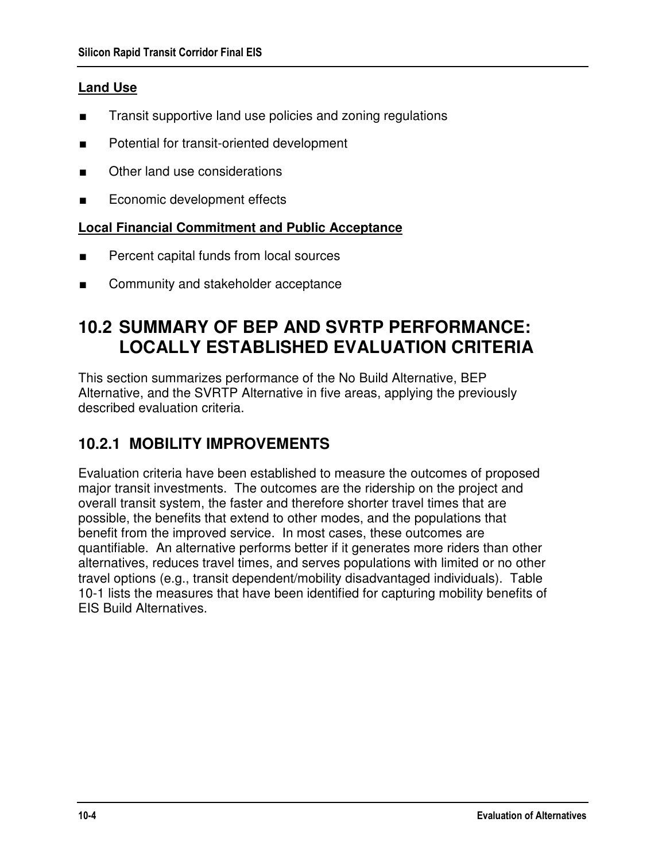## **Land Use**

- Transit supportive land use policies and zoning regulations
- Potential for transit-oriented development
- Other land use considerations
- Economic development effects

### **Local Financial Commitment and Public Acceptance**

- Percent capital funds from local sources
- Community and stakeholder acceptance

# **10.2 SUMMARY OF BEP AND SVRTP PERFORMANCE: LOCALLY ESTABLISHED EVALUATION CRITERIA**

This section summarizes performance of the No Build Alternative, BEP Alternative, and the SVRTP Alternative in five areas, applying the previously described evaluation criteria.

# **10.2.1 MOBILITY IMPROVEMENTS**

Evaluation criteria have been established to measure the outcomes of proposed major transit investments. The outcomes are the ridership on the project and overall transit system, the faster and therefore shorter travel times that are possible, the benefits that extend to other modes, and the populations that benefit from the improved service. In most cases, these outcomes are quantifiable. An alternative performs better if it generates more riders than other alternatives, reduces travel times, and serves populations with limited or no other travel options (e.g., transit dependent/mobility disadvantaged individuals). Table 10-1 lists the measures that have been identified for capturing mobility benefits of EIS Build Alternatives.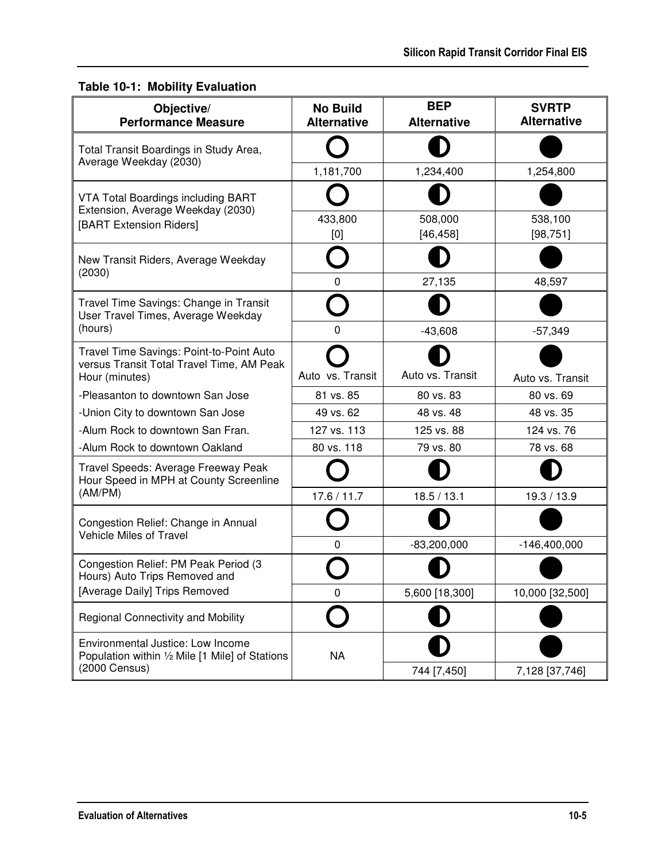# **Table 10-1: Mobility Evaluation**

| Objective/<br><b>Performance Measure</b>                                              | <b>No Build</b><br><b>Alternative</b>                        | <b>BEP</b><br><b>Alternative</b>                                                                                                                                                                                                                    | <b>SVRTP</b><br><b>Alternative</b> |
|---------------------------------------------------------------------------------------|--------------------------------------------------------------|-----------------------------------------------------------------------------------------------------------------------------------------------------------------------------------------------------------------------------------------------------|------------------------------------|
| Total Transit Boardings in Study Area,                                                |                                                              |                                                                                                                                                                                                                                                     |                                    |
| Average Weekday (2030)                                                                | 1,181,700                                                    | 1,234,400<br>433,800<br>508,000<br>[46, 458]<br>[0]<br>27,135<br>0<br>0<br>$-43,608$<br>Auto vs. Transit<br>81 vs. 85<br>80 vs. 83<br>49 vs. 62<br>48 vs. 48<br>125 vs. 88<br>79 vs. 80<br>18.5 / 13.1<br>$-83,200,000$<br>O<br>5,600 [18,300]<br>0 | 1,254,800                          |
| <b>VTA Total Boardings including BART</b><br>Extension, Average Weekday (2030)        |                                                              |                                                                                                                                                                                                                                                     |                                    |
| [BART Extension Riders]                                                               |                                                              |                                                                                                                                                                                                                                                     | 538,100<br>[98, 751]               |
| New Transit Riders, Average Weekday<br>(2030)                                         |                                                              |                                                                                                                                                                                                                                                     |                                    |
|                                                                                       |                                                              |                                                                                                                                                                                                                                                     | 48,597                             |
| Travel Time Savings: Change in Transit<br>User Travel Times, Average Weekday          |                                                              |                                                                                                                                                                                                                                                     |                                    |
| (hours)                                                                               | Auto vs. Transit<br>127 vs. 113<br>80 vs. 118<br>17.6 / 11.7 | $-57,349$                                                                                                                                                                                                                                           |                                    |
| Travel Time Savings: Point-to-Point Auto<br>versus Transit Total Travel Time, AM Peak |                                                              |                                                                                                                                                                                                                                                     |                                    |
| Hour (minutes)                                                                        |                                                              |                                                                                                                                                                                                                                                     | Auto vs. Transit                   |
| -Pleasanton to downtown San Jose                                                      |                                                              |                                                                                                                                                                                                                                                     | 80 vs. 69                          |
| -Union City to downtown San Jose                                                      |                                                              |                                                                                                                                                                                                                                                     | 48 vs. 35                          |
| -Alum Rock to downtown San Fran.                                                      |                                                              |                                                                                                                                                                                                                                                     | 124 vs. 76                         |
| -Alum Rock to downtown Oakland                                                        |                                                              |                                                                                                                                                                                                                                                     | 78 vs. 68                          |
| Travel Speeds: Average Freeway Peak<br>Hour Speed in MPH at County Screenline         |                                                              |                                                                                                                                                                                                                                                     |                                    |
| (AM/PM)                                                                               |                                                              |                                                                                                                                                                                                                                                     | 19.3 / 13.9                        |
| Congestion Relief: Change in Annual<br>Vehicle Miles of Travel                        |                                                              |                                                                                                                                                                                                                                                     |                                    |
|                                                                                       |                                                              |                                                                                                                                                                                                                                                     | $-146,400,000$                     |
| Congestion Relief: PM Peak Period (3<br>Hours) Auto Trips Removed and                 |                                                              |                                                                                                                                                                                                                                                     |                                    |
| [Average Daily] Trips Removed                                                         |                                                              |                                                                                                                                                                                                                                                     | 10,000 [32,500]                    |
| <b>Regional Connectivity and Mobility</b>                                             |                                                              |                                                                                                                                                                                                                                                     |                                    |
| Environmental Justice: Low Income<br>Population within 1/2 Mile [1 Mile] of Stations  | <b>NA</b>                                                    |                                                                                                                                                                                                                                                     |                                    |
| (2000 Census)                                                                         |                                                              | 744 [7,450]                                                                                                                                                                                                                                         | 7,128 [37,746]                     |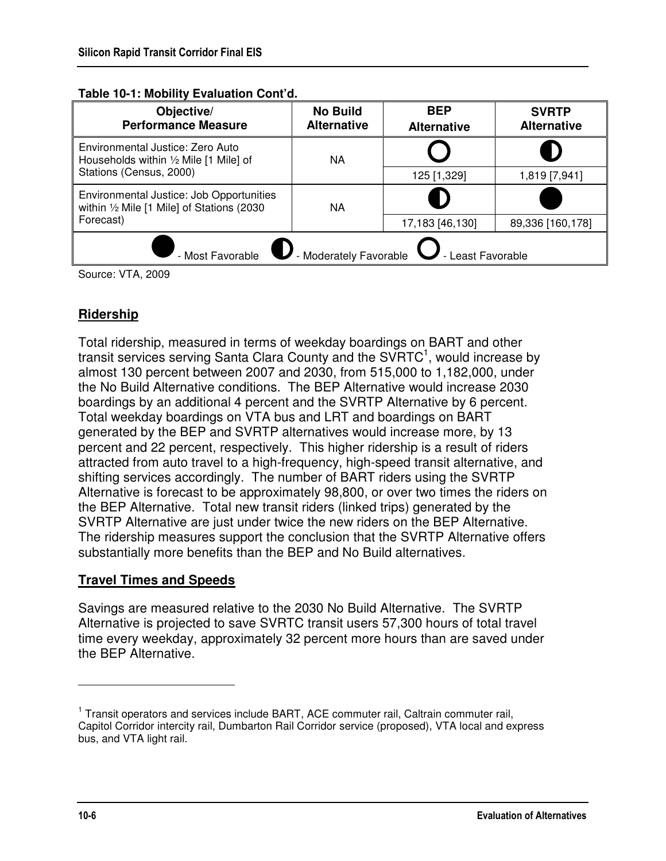| Objective/<br><b>Performance Measure</b>                                               | <b>No Build</b><br><b>Alternative</b> | <b>BEP</b><br><b>Alternative</b> | <b>SVRTP</b><br><b>Alternative</b> |  |
|----------------------------------------------------------------------------------------|---------------------------------------|----------------------------------|------------------------------------|--|
| Environmental Justice: Zero Auto<br>Households within 1/2 Mile [1 Mile] of             | NA                                    |                                  |                                    |  |
| Stations (Census, 2000)                                                                |                                       | 125 [1,329]                      | 1,819 [7,941]                      |  |
| Environmental Justice: Job Opportunities<br>within 1/2 Mile [1 Mile] of Stations (2030 | NA                                    |                                  |                                    |  |
| Forecast)                                                                              |                                       | 17,183 [46,130]                  | 89,336 [160,178]                   |  |
| - Moderately Favorable<br>- Least Favorable<br>- Most Favorable                        |                                       |                                  |                                    |  |

#### **Table 10-1: Mobility Evaluation Cont'd.**

Source: VTA, 2009

### **Ridership**

Total ridership, measured in terms of weekday boardings on BART and other transit services serving Santa Clara County and the SVRTC<sup>1</sup>, would increase by almost 130 percent between 2007 and 2030, from 515,000 to 1,182,000, under the No Build Alternative conditions. The BEP Alternative would increase 2030 boardings by an additional 4 percent and the SVRTP Alternative by 6 percent. Total weekday boardings on VTA bus and LRT and boardings on BART generated by the BEP and SVRTP alternatives would increase more, by 13 percent and 22 percent, respectively. This higher ridership is a result of riders attracted from auto travel to a high-frequency, high-speed transit alternative, and shifting services accordingly. The number of BART riders using the SVRTP Alternative is forecast to be approximately 98,800, or over two times the riders on the BEP Alternative. Total new transit riders (linked trips) generated by the SVRTP Alternative are just under twice the new riders on the BEP Alternative. The ridership measures support the conclusion that the SVRTP Alternative offers substantially more benefits than the BEP and No Build alternatives.

### **Travel Times and Speeds**

Savings are measured relative to the 2030 No Build Alternative. The SVRTP Alternative is projected to save SVRTC transit users 57,300 hours of total travel time every weekday, approximately 32 percent more hours than are saved under the BEP Alternative.

-

<sup>&</sup>lt;sup>1</sup> Transit operators and services include BART, ACE commuter rail, Caltrain commuter rail, Capitol Corridor intercity rail, Dumbarton Rail Corridor service (proposed), VTA local and express bus, and VTA light rail.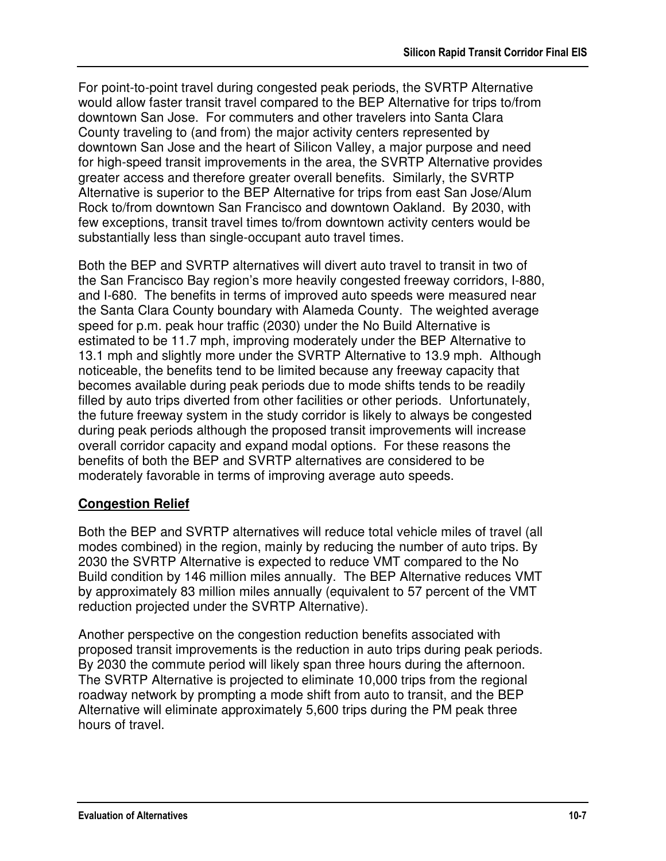For point-to-point travel during congested peak periods, the SVRTP Alternative would allow faster transit travel compared to the BEP Alternative for trips to/from downtown San Jose. For commuters and other travelers into Santa Clara County traveling to (and from) the major activity centers represented by downtown San Jose and the heart of Silicon Valley, a major purpose and need for high-speed transit improvements in the area, the SVRTP Alternative provides greater access and therefore greater overall benefits. Similarly, the SVRTP Alternative is superior to the BEP Alternative for trips from east San Jose/Alum Rock to/from downtown San Francisco and downtown Oakland. By 2030, with few exceptions, transit travel times to/from downtown activity centers would be substantially less than single-occupant auto travel times.

Both the BEP and SVRTP alternatives will divert auto travel to transit in two of the San Francisco Bay region's more heavily congested freeway corridors, I-880, and I-680. The benefits in terms of improved auto speeds were measured near the Santa Clara County boundary with Alameda County. The weighted average speed for p.m. peak hour traffic (2030) under the No Build Alternative is estimated to be 11.7 mph, improving moderately under the BEP Alternative to 13.1 mph and slightly more under the SVRTP Alternative to 13.9 mph. Although noticeable, the benefits tend to be limited because any freeway capacity that becomes available during peak periods due to mode shifts tends to be readily filled by auto trips diverted from other facilities or other periods. Unfortunately, the future freeway system in the study corridor is likely to always be congested during peak periods although the proposed transit improvements will increase overall corridor capacity and expand modal options. For these reasons the benefits of both the BEP and SVRTP alternatives are considered to be moderately favorable in terms of improving average auto speeds.

### **Congestion Relief**

Both the BEP and SVRTP alternatives will reduce total vehicle miles of travel (all modes combined) in the region, mainly by reducing the number of auto trips. By 2030 the SVRTP Alternative is expected to reduce VMT compared to the No Build condition by 146 million miles annually. The BEP Alternative reduces VMT by approximately 83 million miles annually (equivalent to 57 percent of the VMT reduction projected under the SVRTP Alternative).

Another perspective on the congestion reduction benefits associated with proposed transit improvements is the reduction in auto trips during peak periods. By 2030 the commute period will likely span three hours during the afternoon. The SVRTP Alternative is projected to eliminate 10,000 trips from the regional roadway network by prompting a mode shift from auto to transit, and the BEP Alternative will eliminate approximately 5,600 trips during the PM peak three hours of travel.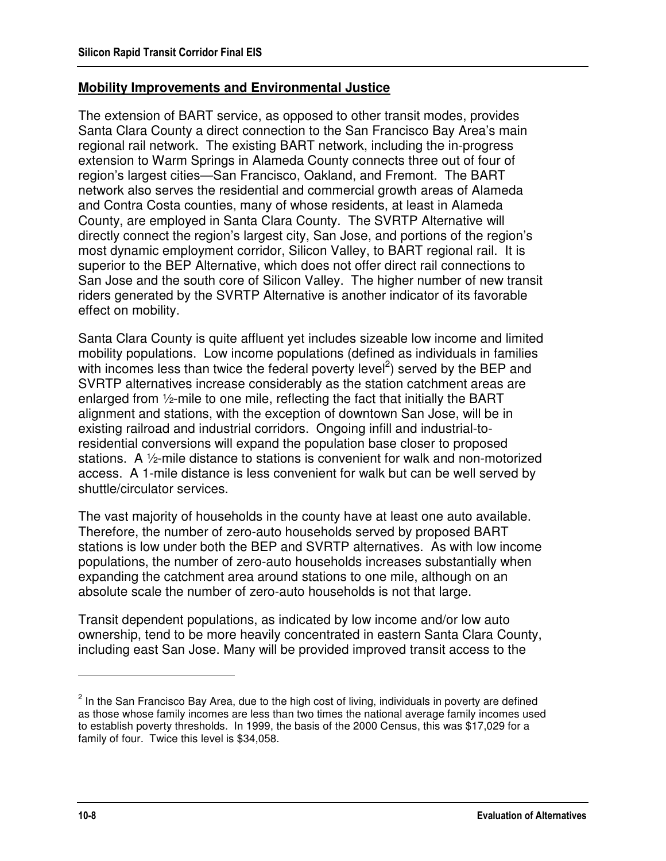#### **Mobility Improvements and Environmental Justice**

The extension of BART service, as opposed to other transit modes, provides Santa Clara County a direct connection to the San Francisco Bay Area's main regional rail network. The existing BART network, including the in-progress extension to Warm Springs in Alameda County connects three out of four of region's largest cities—San Francisco, Oakland, and Fremont. The BART network also serves the residential and commercial growth areas of Alameda and Contra Costa counties, many of whose residents, at least in Alameda County, are employed in Santa Clara County. The SVRTP Alternative will directly connect the region's largest city, San Jose, and portions of the region's most dynamic employment corridor, Silicon Valley, to BART regional rail. It is superior to the BEP Alternative, which does not offer direct rail connections to San Jose and the south core of Silicon Valley. The higher number of new transit riders generated by the SVRTP Alternative is another indicator of its favorable effect on mobility.

Santa Clara County is quite affluent yet includes sizeable low income and limited mobility populations. Low income populations (defined as individuals in families with incomes less than twice the federal poverty level<sup>2</sup>) served by the BEP and SVRTP alternatives increase considerably as the station catchment areas are enlarged from ½-mile to one mile, reflecting the fact that initially the BART alignment and stations, with the exception of downtown San Jose, will be in existing railroad and industrial corridors. Ongoing infill and industrial-toresidential conversions will expand the population base closer to proposed stations. A ½-mile distance to stations is convenient for walk and non-motorized access. A 1-mile distance is less convenient for walk but can be well served by shuttle/circulator services.

The vast majority of households in the county have at least one auto available. Therefore, the number of zero-auto households served by proposed BART stations is low under both the BEP and SVRTP alternatives. As with low income populations, the number of zero-auto households increases substantially when expanding the catchment area around stations to one mile, although on an absolute scale the number of zero-auto households is not that large.

Transit dependent populations, as indicated by low income and/or low auto ownership, tend to be more heavily concentrated in eastern Santa Clara County, including east San Jose. Many will be provided improved transit access to the

<u>.</u>

 $2$  In the San Francisco Bay Area, due to the high cost of living, individuals in poverty are defined as those whose family incomes are less than two times the national average family incomes used to establish poverty thresholds. In 1999, the basis of the 2000 Census, this was \$17,029 for a family of four. Twice this level is \$34,058.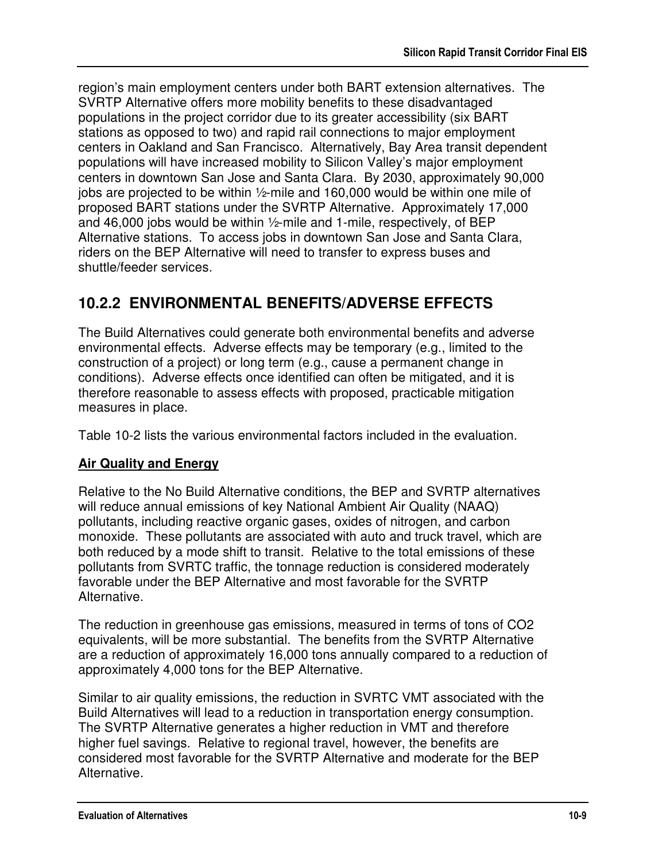region's main employment centers under both BART extension alternatives. The SVRTP Alternative offers more mobility benefits to these disadvantaged populations in the project corridor due to its greater accessibility (six BART stations as opposed to two) and rapid rail connections to major employment centers in Oakland and San Francisco. Alternatively, Bay Area transit dependent populations will have increased mobility to Silicon Valley's major employment centers in downtown San Jose and Santa Clara. By 2030, approximately 90,000 jobs are projected to be within ½-mile and 160,000 would be within one mile of proposed BART stations under the SVRTP Alternative. Approximately 17,000 and 46,000 jobs would be within ½-mile and 1-mile, respectively, of BEP Alternative stations. To access jobs in downtown San Jose and Santa Clara, riders on the BEP Alternative will need to transfer to express buses and shuttle/feeder services.

## **10.2.2 ENVIRONMENTAL BENEFITS/ADVERSE EFFECTS**

The Build Alternatives could generate both environmental benefits and adverse environmental effects. Adverse effects may be temporary (e.g., limited to the construction of a project) or long term (e.g., cause a permanent change in conditions). Adverse effects once identified can often be mitigated, and it is therefore reasonable to assess effects with proposed, practicable mitigation measures in place.

Table 10-2 lists the various environmental factors included in the evaluation.

## **Air Quality and Energy**

Relative to the No Build Alternative conditions, the BEP and SVRTP alternatives will reduce annual emissions of key National Ambient Air Quality (NAAQ) pollutants, including reactive organic gases, oxides of nitrogen, and carbon monoxide. These pollutants are associated with auto and truck travel, which are both reduced by a mode shift to transit. Relative to the total emissions of these pollutants from SVRTC traffic, the tonnage reduction is considered moderately favorable under the BEP Alternative and most favorable for the SVRTP Alternative.

The reduction in greenhouse gas emissions, measured in terms of tons of CO2 equivalents, will be more substantial. The benefits from the SVRTP Alternative are a reduction of approximately 16,000 tons annually compared to a reduction of approximately 4,000 tons for the BEP Alternative.

Similar to air quality emissions, the reduction in SVRTC VMT associated with the Build Alternatives will lead to a reduction in transportation energy consumption. The SVRTP Alternative generates a higher reduction in VMT and therefore higher fuel savings. Relative to regional travel, however, the benefits are considered most favorable for the SVRTP Alternative and moderate for the BEP Alternative.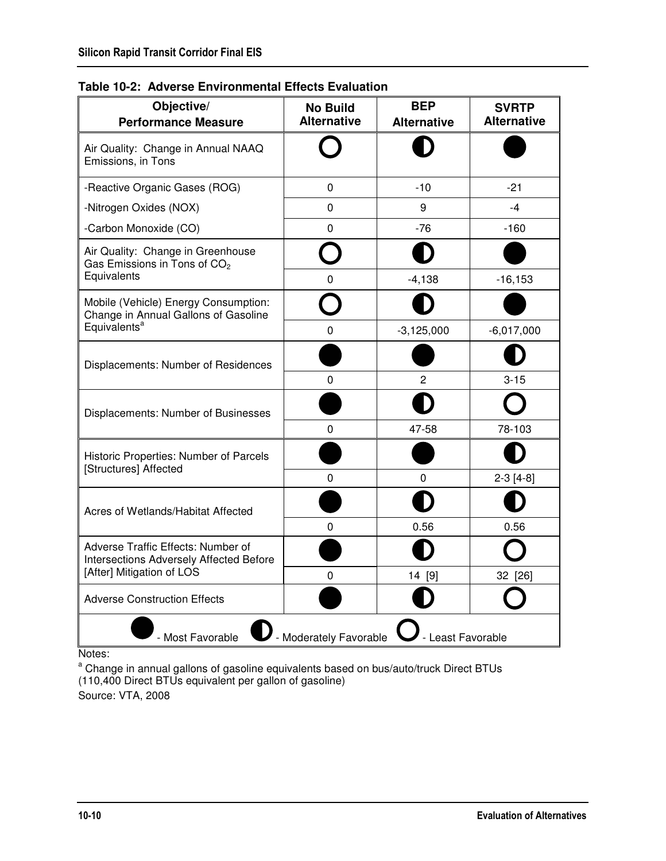| Objective/<br><b>Performance Measure</b>                                      | <b>No Build</b><br><b>Alternative</b> | <b>BEP</b><br><b>Alternative</b> | <b>SVRTP</b><br><b>Alternative</b> |  |
|-------------------------------------------------------------------------------|---------------------------------------|----------------------------------|------------------------------------|--|
| Air Quality: Change in Annual NAAQ<br>Emissions, in Tons                      |                                       |                                  |                                    |  |
| -Reactive Organic Gases (ROG)                                                 | 0                                     | $-10$                            | $-21$                              |  |
| -Nitrogen Oxides (NOX)                                                        | 0                                     | 9                                | $-4$                               |  |
| -Carbon Monoxide (CO)                                                         | 0                                     | $-76$                            | $-160$                             |  |
| Air Quality: Change in Greenhouse<br>Gas Emissions in Tons of CO <sub>2</sub> |                                       |                                  |                                    |  |
| Equivalents                                                                   | 0                                     | $-4,138$                         | $-16, 153$                         |  |
| Mobile (Vehicle) Energy Consumption:<br>Change in Annual Gallons of Gasoline  |                                       |                                  |                                    |  |
| Equivalents <sup>a</sup>                                                      | 0                                     | $-3,125,000$                     | $-6,017,000$                       |  |
| Displacements: Number of Residences                                           |                                       |                                  |                                    |  |
|                                                                               | 0                                     | 2                                | $3 - 15$                           |  |
| Displacements: Number of Businesses                                           |                                       |                                  |                                    |  |
|                                                                               | 0                                     | 47-58                            | 78-103                             |  |
| Historic Properties: Number of Parcels<br>[Structures] Affected               |                                       |                                  |                                    |  |
|                                                                               | 0<br>0<br>0                           | 0                                | $2-3[4-8]$                         |  |
| Acres of Wetlands/Habitat Affected                                            |                                       |                                  |                                    |  |
|                                                                               |                                       | 0.56                             | 0.56                               |  |
| Adverse Traffic Effects: Number of<br>Intersections Adversely Affected Before |                                       |                                  |                                    |  |
| [After] Mitigation of LOS                                                     |                                       | 14 [9]                           | 32 [26]                            |  |
| <b>Adverse Construction Effects</b>                                           |                                       |                                  |                                    |  |
| - Most Favorable<br>- Moderately Favorable<br>- Least Favorable               |                                       |                                  |                                    |  |

**Table 10-2: Adverse Environmental Effects Evaluation**

Notes:

<sup>a</sup> Change in annual gallons of gasoline equivalents based on bus/auto/truck Direct BTUs (110,400 Direct BTUs equivalent per gallon of gasoline) Source: VTA, 2008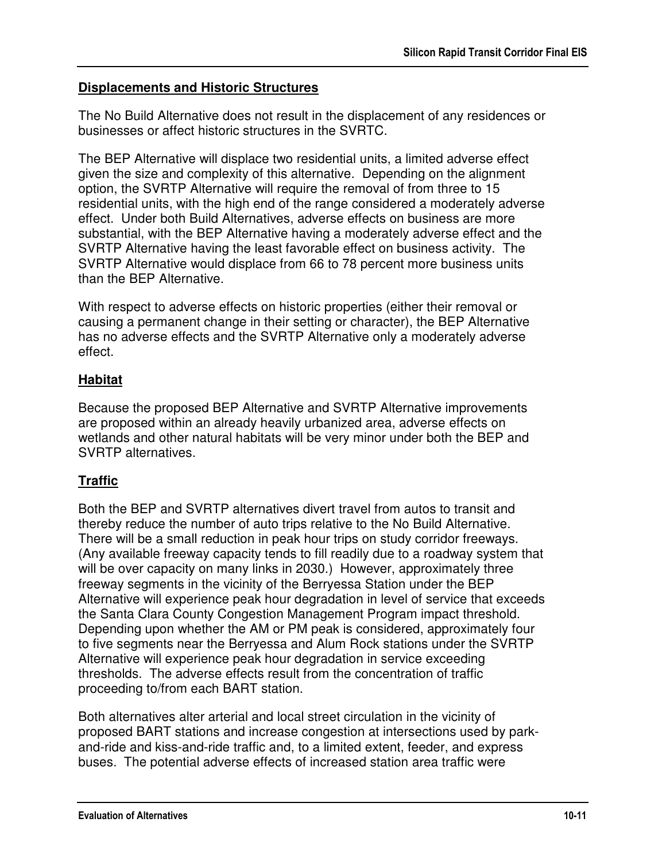#### **Displacements and Historic Structures**

The No Build Alternative does not result in the displacement of any residences or businesses or affect historic structures in the SVRTC.

The BEP Alternative will displace two residential units, a limited adverse effect given the size and complexity of this alternative. Depending on the alignment option, the SVRTP Alternative will require the removal of from three to 15 residential units, with the high end of the range considered a moderately adverse effect. Under both Build Alternatives, adverse effects on business are more substantial, with the BEP Alternative having a moderately adverse effect and the SVRTP Alternative having the least favorable effect on business activity. The SVRTP Alternative would displace from 66 to 78 percent more business units than the BEP Alternative.

With respect to adverse effects on historic properties (either their removal or causing a permanent change in their setting or character), the BEP Alternative has no adverse effects and the SVRTP Alternative only a moderately adverse effect.

### **Habitat**

Because the proposed BEP Alternative and SVRTP Alternative improvements are proposed within an already heavily urbanized area, adverse effects on wetlands and other natural habitats will be very minor under both the BEP and SVRTP alternatives.

## **Traffic**

Both the BEP and SVRTP alternatives divert travel from autos to transit and thereby reduce the number of auto trips relative to the No Build Alternative. There will be a small reduction in peak hour trips on study corridor freeways. (Any available freeway capacity tends to fill readily due to a roadway system that will be over capacity on many links in 2030.) However, approximately three freeway segments in the vicinity of the Berryessa Station under the BEP Alternative will experience peak hour degradation in level of service that exceeds the Santa Clara County Congestion Management Program impact threshold. Depending upon whether the AM or PM peak is considered, approximately four to five segments near the Berryessa and Alum Rock stations under the SVRTP Alternative will experience peak hour degradation in service exceeding thresholds. The adverse effects result from the concentration of traffic proceeding to/from each BART station.

Both alternatives alter arterial and local street circulation in the vicinity of proposed BART stations and increase congestion at intersections used by parkand-ride and kiss-and-ride traffic and, to a limited extent, feeder, and express buses. The potential adverse effects of increased station area traffic were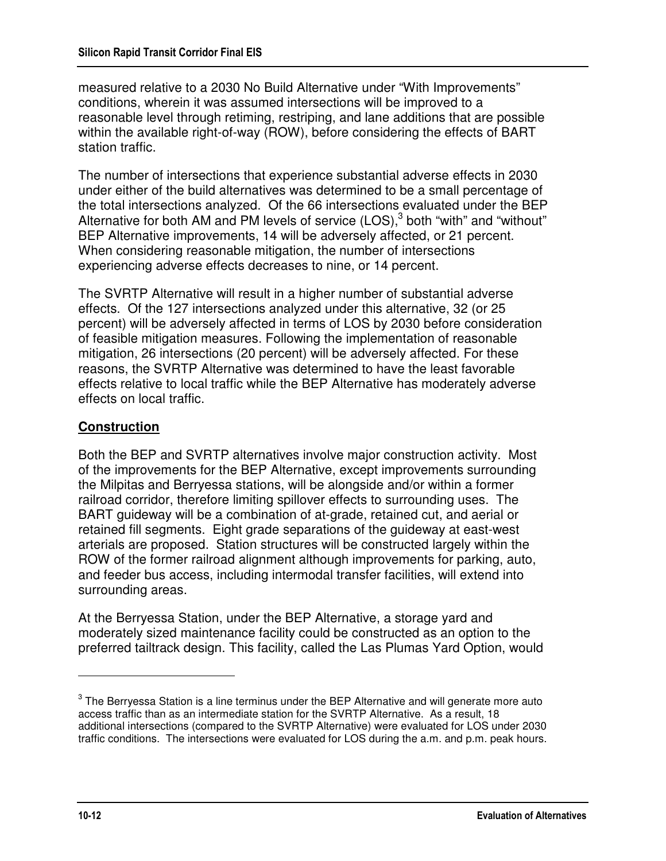measured relative to a 2030 No Build Alternative under "With Improvements" conditions, wherein it was assumed intersections will be improved to a reasonable level through retiming, restriping, and lane additions that are possible within the available right-of-way (ROW), before considering the effects of BART station traffic.

The number of intersections that experience substantial adverse effects in 2030 under either of the build alternatives was determined to be a small percentage of the total intersections analyzed. Of the 66 intersections evaluated under the BEP Alternative for both AM and PM levels of service  $(LOS)<sup>3</sup>$  both "with" and "without" BEP Alternative improvements, 14 will be adversely affected, or 21 percent. When considering reasonable mitigation, the number of intersections experiencing adverse effects decreases to nine, or 14 percent.

The SVRTP Alternative will result in a higher number of substantial adverse effects. Of the 127 intersections analyzed under this alternative, 32 (or 25 percent) will be adversely affected in terms of LOS by 2030 before consideration of feasible mitigation measures. Following the implementation of reasonable mitigation, 26 intersections (20 percent) will be adversely affected. For these reasons, the SVRTP Alternative was determined to have the least favorable effects relative to local traffic while the BEP Alternative has moderately adverse effects on local traffic.

## **Construction**

Both the BEP and SVRTP alternatives involve major construction activity. Most of the improvements for the BEP Alternative, except improvements surrounding the Milpitas and Berryessa stations, will be alongside and/or within a former railroad corridor, therefore limiting spillover effects to surrounding uses. The BART guideway will be a combination of at-grade, retained cut, and aerial or retained fill segments. Eight grade separations of the guideway at east-west arterials are proposed. Station structures will be constructed largely within the ROW of the former railroad alignment although improvements for parking, auto, and feeder bus access, including intermodal transfer facilities, will extend into surrounding areas.

At the Berryessa Station, under the BEP Alternative, a storage yard and moderately sized maintenance facility could be constructed as an option to the preferred tailtrack design. This facility, called the Las Plumas Yard Option, would

<u>.</u>

 $3$  The Berryessa Station is a line terminus under the BEP Alternative and will generate more auto access traffic than as an intermediate station for the SVRTP Alternative. As a result, 18 additional intersections (compared to the SVRTP Alternative) were evaluated for LOS under 2030 traffic conditions. The intersections were evaluated for LOS during the a.m. and p.m. peak hours.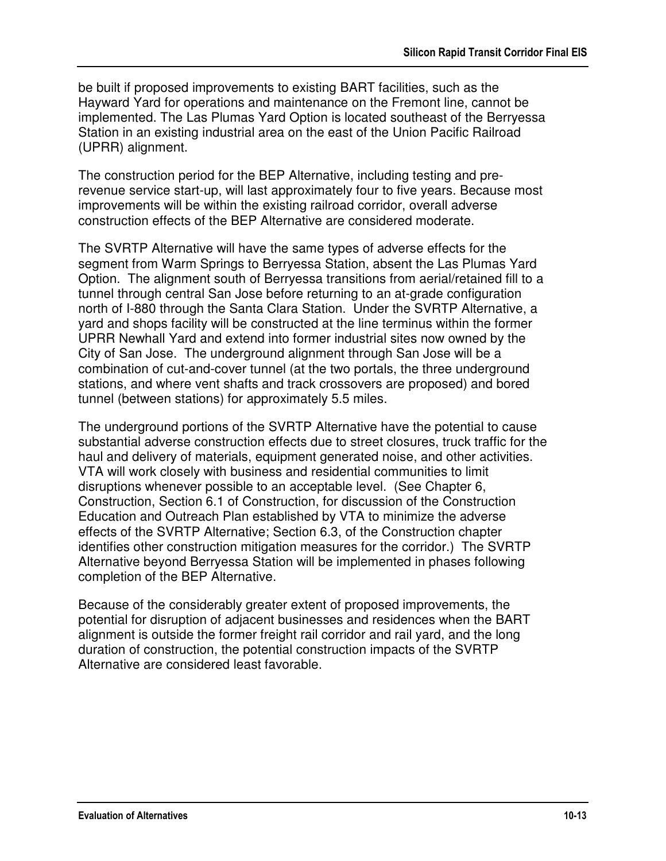be built if proposed improvements to existing BART facilities, such as the Hayward Yard for operations and maintenance on the Fremont line, cannot be implemented. The Las Plumas Yard Option is located southeast of the Berryessa Station in an existing industrial area on the east of the Union Pacific Railroad (UPRR) alignment.

The construction period for the BEP Alternative, including testing and prerevenue service start-up, will last approximately four to five years. Because most improvements will be within the existing railroad corridor, overall adverse construction effects of the BEP Alternative are considered moderate.

The SVRTP Alternative will have the same types of adverse effects for the segment from Warm Springs to Berryessa Station, absent the Las Plumas Yard Option. The alignment south of Berryessa transitions from aerial/retained fill to a tunnel through central San Jose before returning to an at-grade configuration north of I-880 through the Santa Clara Station. Under the SVRTP Alternative, a yard and shops facility will be constructed at the line terminus within the former UPRR Newhall Yard and extend into former industrial sites now owned by the City of San Jose. The underground alignment through San Jose will be a combination of cut-and-cover tunnel (at the two portals, the three underground stations, and where vent shafts and track crossovers are proposed) and bored tunnel (between stations) for approximately 5.5 miles.

The underground portions of the SVRTP Alternative have the potential to cause substantial adverse construction effects due to street closures, truck traffic for the haul and delivery of materials, equipment generated noise, and other activities. VTA will work closely with business and residential communities to limit disruptions whenever possible to an acceptable level. (See Chapter 6, Construction, Section 6.1 of Construction, for discussion of the Construction Education and Outreach Plan established by VTA to minimize the adverse effects of the SVRTP Alternative; Section 6.3, of the Construction chapter identifies other construction mitigation measures for the corridor.) The SVRTP Alternative beyond Berryessa Station will be implemented in phases following completion of the BEP Alternative.

Because of the considerably greater extent of proposed improvements, the potential for disruption of adjacent businesses and residences when the BART alignment is outside the former freight rail corridor and rail yard, and the long duration of construction, the potential construction impacts of the SVRTP Alternative are considered least favorable.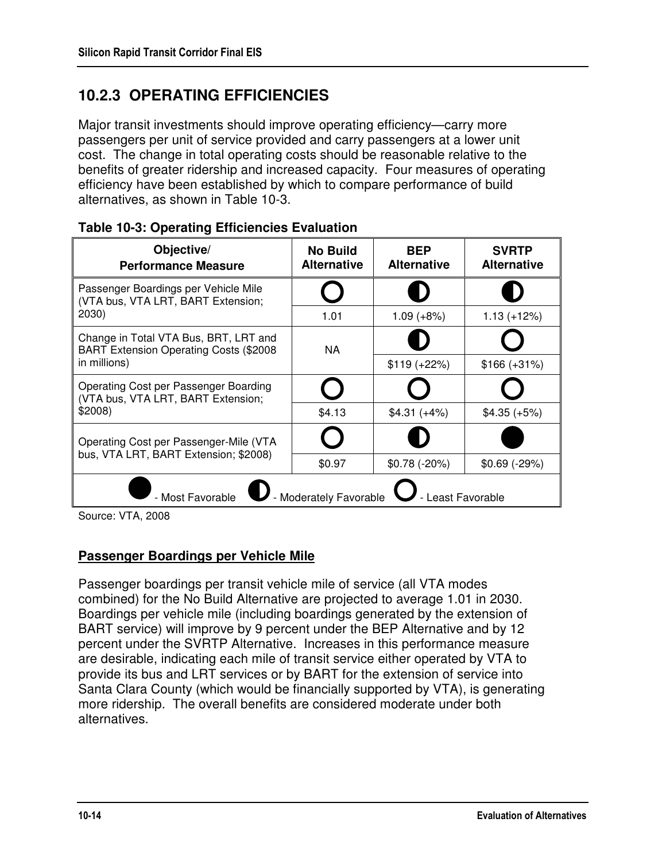# **10.2.3 OPERATING EFFICIENCIES**

Major transit investments should improve operating efficiency—carry more passengers per unit of service provided and carry passengers at a lower unit cost. The change in total operating costs should be reasonable relative to the benefits of greater ridership and increased capacity. Four measures of operating efficiency have been established by which to compare performance of build alternatives, as shown in Table 10-3.

| Objective/<br><b>Performance Measure</b>                                        | <b>No Build</b><br><b>Alternative</b> | <b>BEP</b><br><b>Alternative</b> | <b>SVRTP</b><br><b>Alternative</b> |
|---------------------------------------------------------------------------------|---------------------------------------|----------------------------------|------------------------------------|
| Passenger Boardings per Vehicle Mile<br>(VTA bus, VTA LRT, BART Extension;      |                                       |                                  |                                    |
| 2030)                                                                           | 1.01                                  | $1.09 (+8%)$                     | $1.13 (+12%)$                      |
| Change in Total VTA Bus, BRT, LRT and<br>BART Extension Operating Costs (\$2008 | NA.                                   |                                  |                                    |
| in millions)                                                                    |                                       | $$119 (+22%)$                    | $$166 (+31%)$                      |
| Operating Cost per Passenger Boarding<br>(VTA bus, VTA LRT, BART Extension;     |                                       |                                  |                                    |
| \$2008)                                                                         | \$4.13                                | $$4.31 (+4%)$                    | $$4.35 (+5%)$                      |
| Operating Cost per Passenger-Mile (VTA                                          |                                       |                                  |                                    |
| bus, VTA LRT, BART Extension; \$2008)                                           | \$0.97                                | $$0.78 (+20%)$                   | $$0.69$ (-29%)                     |
| - Moderately Favorable<br>- Most Favorable<br>- Least Favorable                 |                                       |                                  |                                    |

#### **Table 10-3: Operating Efficiencies Evaluation**

Source: VTA, 2008

## **Passenger Boardings per Vehicle Mile**

Passenger boardings per transit vehicle mile of service (all VTA modes combined) for the No Build Alternative are projected to average 1.01 in 2030. Boardings per vehicle mile (including boardings generated by the extension of BART service) will improve by 9 percent under the BEP Alternative and by 12 percent under the SVRTP Alternative. Increases in this performance measure are desirable, indicating each mile of transit service either operated by VTA to provide its bus and LRT services or by BART for the extension of service into Santa Clara County (which would be financially supported by VTA), is generating more ridership. The overall benefits are considered moderate under both alternatives.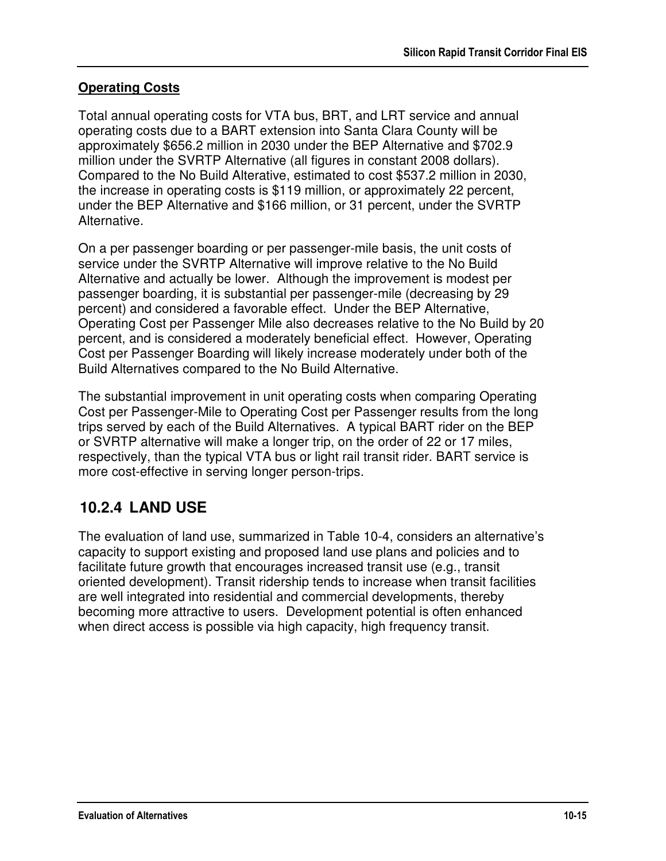## **Operating Costs**

Total annual operating costs for VTA bus, BRT, and LRT service and annual operating costs due to a BART extension into Santa Clara County will be approximately \$656.2 million in 2030 under the BEP Alternative and \$702.9 million under the SVRTP Alternative (all figures in constant 2008 dollars). Compared to the No Build Alterative, estimated to cost \$537.2 million in 2030, the increase in operating costs is \$119 million, or approximately 22 percent, under the BEP Alternative and \$166 million, or 31 percent, under the SVRTP Alternative.

On a per passenger boarding or per passenger-mile basis, the unit costs of service under the SVRTP Alternative will improve relative to the No Build Alternative and actually be lower. Although the improvement is modest per passenger boarding, it is substantial per passenger-mile (decreasing by 29 percent) and considered a favorable effect. Under the BEP Alternative, Operating Cost per Passenger Mile also decreases relative to the No Build by 20 percent, and is considered a moderately beneficial effect. However, Operating Cost per Passenger Boarding will likely increase moderately under both of the Build Alternatives compared to the No Build Alternative.

The substantial improvement in unit operating costs when comparing Operating Cost per Passenger-Mile to Operating Cost per Passenger results from the long trips served by each of the Build Alternatives. A typical BART rider on the BEP or SVRTP alternative will make a longer trip, on the order of 22 or 17 miles, respectively, than the typical VTA bus or light rail transit rider. BART service is more cost-effective in serving longer person-trips.

# **10.2.4 LAND USE**

The evaluation of land use, summarized in Table 10-4, considers an alternative's capacity to support existing and proposed land use plans and policies and to facilitate future growth that encourages increased transit use (e.g., transit oriented development). Transit ridership tends to increase when transit facilities are well integrated into residential and commercial developments, thereby becoming more attractive to users. Development potential is often enhanced when direct access is possible via high capacity, high frequency transit.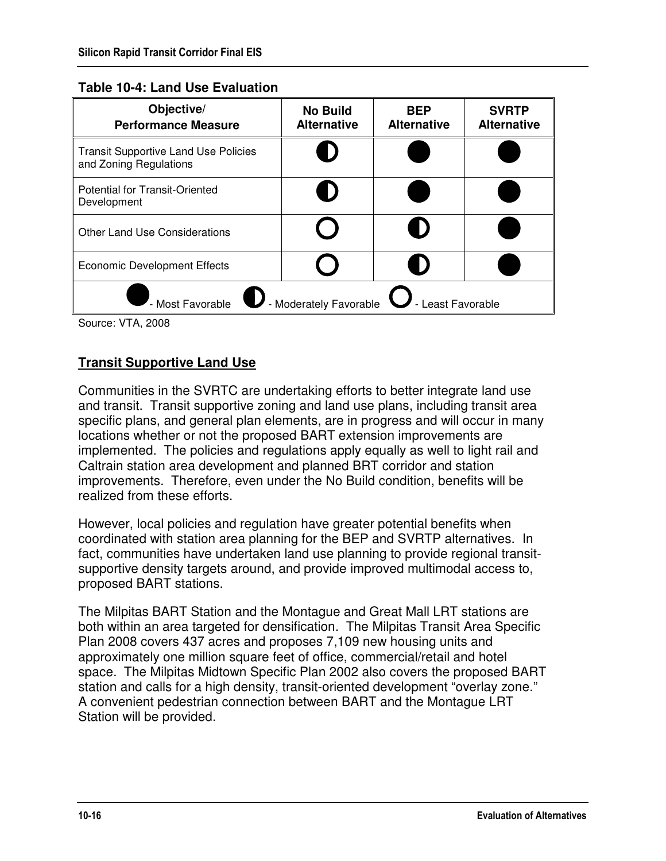#### **Table 10-4: Land Use Evaluation**

| Objective/<br><b>Performance Measure</b>                              | <b>No Build</b><br><b>Alternative</b> | <b>BEP</b><br><b>Alternative</b> | <b>SVRTP</b><br><b>Alternative</b> |
|-----------------------------------------------------------------------|---------------------------------------|----------------------------------|------------------------------------|
| <b>Transit Supportive Land Use Policies</b><br>and Zoning Regulations |                                       |                                  |                                    |
| <b>Potential for Transit-Oriented</b><br>Development                  | Ð                                     |                                  |                                    |
| <b>Other Land Use Considerations</b>                                  |                                       |                                  |                                    |
| <b>Economic Development Effects</b>                                   |                                       |                                  |                                    |
| - Moderately Favorable<br>- Most Favorable<br>- Least Favorable       |                                       |                                  |                                    |

Source: VTA, 2008

## **Transit Supportive Land Use**

Communities in the SVRTC are undertaking efforts to better integrate land use and transit. Transit supportive zoning and land use plans, including transit area specific plans, and general plan elements, are in progress and will occur in many locations whether or not the proposed BART extension improvements are implemented. The policies and regulations apply equally as well to light rail and Caltrain station area development and planned BRT corridor and station improvements. Therefore, even under the No Build condition, benefits will be realized from these efforts.

However, local policies and regulation have greater potential benefits when coordinated with station area planning for the BEP and SVRTP alternatives. In fact, communities have undertaken land use planning to provide regional transitsupportive density targets around, and provide improved multimodal access to, proposed BART stations.

The Milpitas BART Station and the Montague and Great Mall LRT stations are both within an area targeted for densification. The Milpitas Transit Area Specific Plan 2008 covers 437 acres and proposes 7,109 new housing units and approximately one million square feet of office, commercial/retail and hotel space. The Milpitas Midtown Specific Plan 2002 also covers the proposed BART station and calls for a high density, transit-oriented development "overlay zone." A convenient pedestrian connection between BART and the Montague LRT Station will be provided.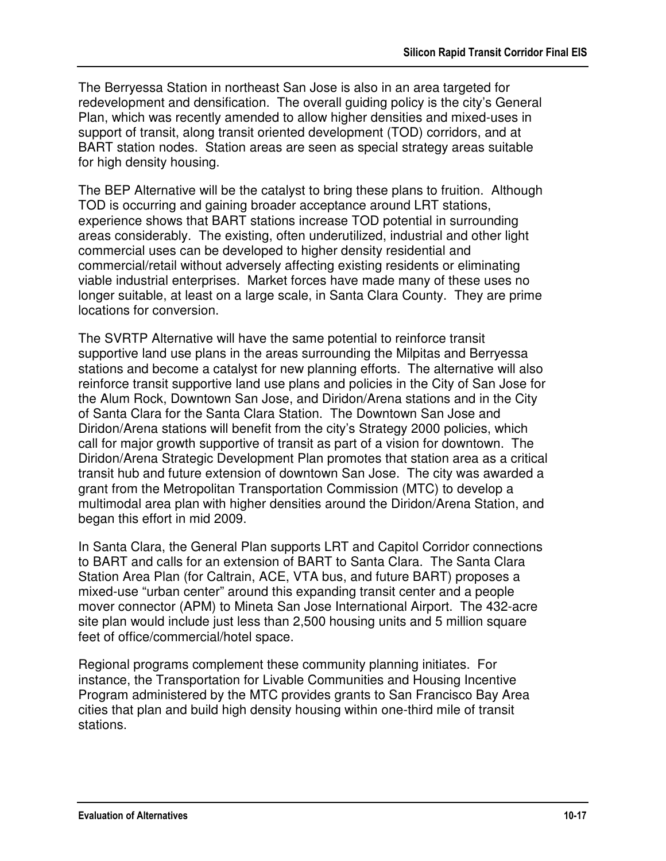The Berryessa Station in northeast San Jose is also in an area targeted for redevelopment and densification. The overall guiding policy is the city's General Plan, which was recently amended to allow higher densities and mixed-uses in support of transit, along transit oriented development (TOD) corridors, and at BART station nodes. Station areas are seen as special strategy areas suitable for high density housing.

The BEP Alternative will be the catalyst to bring these plans to fruition. Although TOD is occurring and gaining broader acceptance around LRT stations, experience shows that BART stations increase TOD potential in surrounding areas considerably. The existing, often underutilized, industrial and other light commercial uses can be developed to higher density residential and commercial/retail without adversely affecting existing residents or eliminating viable industrial enterprises. Market forces have made many of these uses no longer suitable, at least on a large scale, in Santa Clara County. They are prime locations for conversion.

The SVRTP Alternative will have the same potential to reinforce transit supportive land use plans in the areas surrounding the Milpitas and Berryessa stations and become a catalyst for new planning efforts. The alternative will also reinforce transit supportive land use plans and policies in the City of San Jose for the Alum Rock, Downtown San Jose, and Diridon/Arena stations and in the City of Santa Clara for the Santa Clara Station. The Downtown San Jose and Diridon/Arena stations will benefit from the city's Strategy 2000 policies, which call for major growth supportive of transit as part of a vision for downtown. The Diridon/Arena Strategic Development Plan promotes that station area as a critical transit hub and future extension of downtown San Jose. The city was awarded a grant from the Metropolitan Transportation Commission (MTC) to develop a multimodal area plan with higher densities around the Diridon/Arena Station, and began this effort in mid 2009.

In Santa Clara, the General Plan supports LRT and Capitol Corridor connections to BART and calls for an extension of BART to Santa Clara. The Santa Clara Station Area Plan (for Caltrain, ACE, VTA bus, and future BART) proposes a mixed-use "urban center" around this expanding transit center and a people mover connector (APM) to Mineta San Jose International Airport. The 432-acre site plan would include just less than 2,500 housing units and 5 million square feet of office/commercial/hotel space.

Regional programs complement these community planning initiates. For instance, the Transportation for Livable Communities and Housing Incentive Program administered by the MTC provides grants to San Francisco Bay Area cities that plan and build high density housing within one-third mile of transit stations.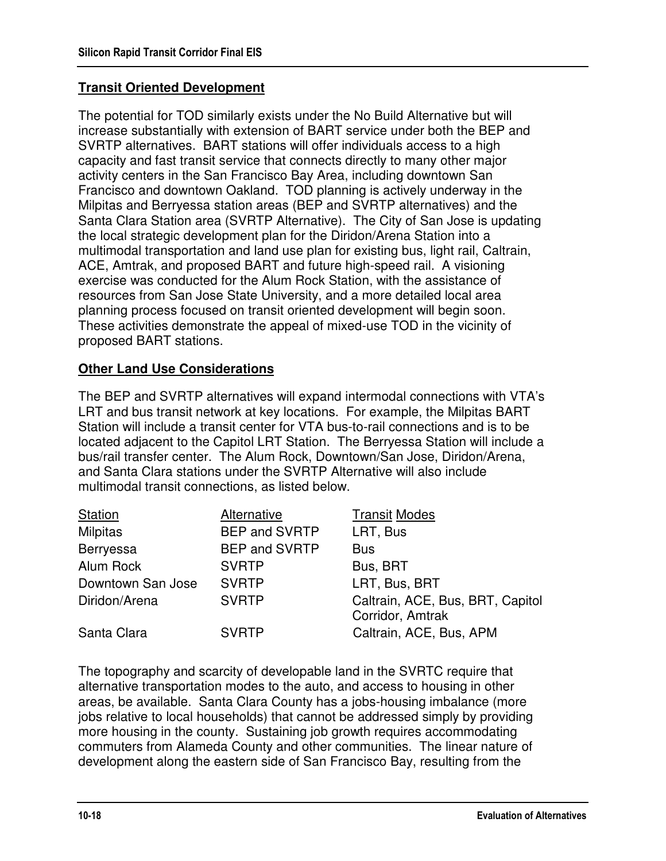## **Transit Oriented Development**

The potential for TOD similarly exists under the No Build Alternative but will increase substantially with extension of BART service under both the BEP and SVRTP alternatives. BART stations will offer individuals access to a high capacity and fast transit service that connects directly to many other major activity centers in the San Francisco Bay Area, including downtown San Francisco and downtown Oakland. TOD planning is actively underway in the Milpitas and Berryessa station areas (BEP and SVRTP alternatives) and the Santa Clara Station area (SVRTP Alternative). The City of San Jose is updating the local strategic development plan for the Diridon/Arena Station into a multimodal transportation and land use plan for existing bus, light rail, Caltrain, ACE, Amtrak, and proposed BART and future high-speed rail. A visioning exercise was conducted for the Alum Rock Station, with the assistance of resources from San Jose State University, and a more detailed local area planning process focused on transit oriented development will begin soon. These activities demonstrate the appeal of mixed-use TOD in the vicinity of proposed BART stations.

### **Other Land Use Considerations**

The BEP and SVRTP alternatives will expand intermodal connections with VTA's LRT and bus transit network at key locations. For example, the Milpitas BART Station will include a transit center for VTA bus-to-rail connections and is to be located adjacent to the Capitol LRT Station. The Berryessa Station will include a bus/rail transfer center. The Alum Rock, Downtown/San Jose, Diridon/Arena, and Santa Clara stations under the SVRTP Alternative will also include multimodal transit connections, as listed below.

| Station           | Alternative          | <b>Transit Modes</b>                                 |
|-------------------|----------------------|------------------------------------------------------|
| Milpitas          | <b>BEP and SVRTP</b> | LRT, Bus                                             |
| Berryessa         | <b>BEP and SVRTP</b> | <b>Bus</b>                                           |
| Alum Rock         | <b>SVRTP</b>         | Bus, BRT                                             |
| Downtown San Jose | <b>SVRTP</b>         | LRT, Bus, BRT                                        |
| Diridon/Arena     | <b>SVRTP</b>         | Caltrain, ACE, Bus, BRT, Capitol<br>Corridor, Amtrak |
| Santa Clara       | <b>SVRTP</b>         | Caltrain, ACE, Bus, APM                              |

The topography and scarcity of developable land in the SVRTC require that alternative transportation modes to the auto, and access to housing in other areas, be available. Santa Clara County has a jobs-housing imbalance (more jobs relative to local households) that cannot be addressed simply by providing more housing in the county. Sustaining job growth requires accommodating commuters from Alameda County and other communities. The linear nature of development along the eastern side of San Francisco Bay, resulting from the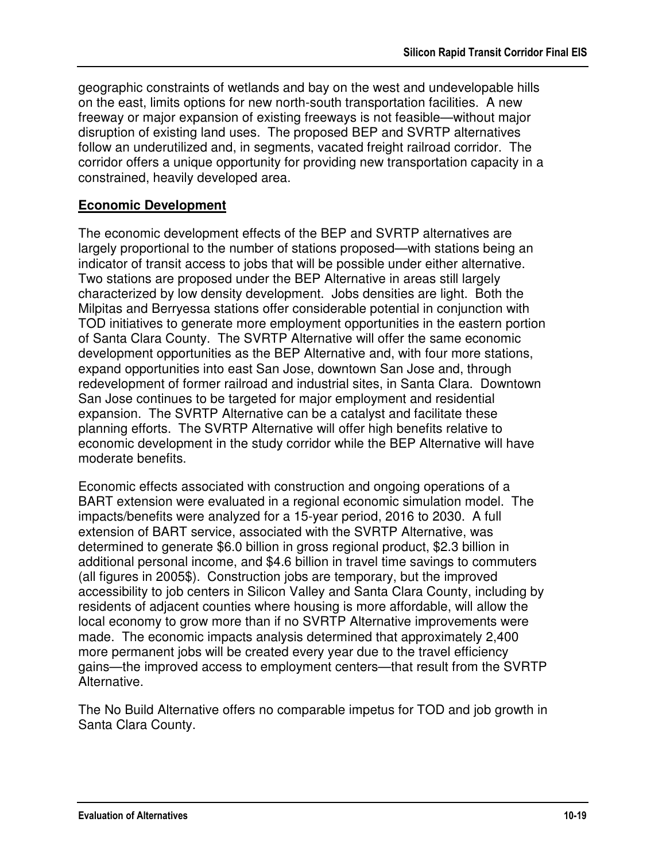geographic constraints of wetlands and bay on the west and undevelopable hills on the east, limits options for new north-south transportation facilities. A new freeway or major expansion of existing freeways is not feasible—without major disruption of existing land uses. The proposed BEP and SVRTP alternatives follow an underutilized and, in segments, vacated freight railroad corridor. The corridor offers a unique opportunity for providing new transportation capacity in a constrained, heavily developed area.

### **Economic Development**

The economic development effects of the BEP and SVRTP alternatives are largely proportional to the number of stations proposed—with stations being an indicator of transit access to jobs that will be possible under either alternative. Two stations are proposed under the BEP Alternative in areas still largely characterized by low density development. Jobs densities are light. Both the Milpitas and Berryessa stations offer considerable potential in conjunction with TOD initiatives to generate more employment opportunities in the eastern portion of Santa Clara County. The SVRTP Alternative will offer the same economic development opportunities as the BEP Alternative and, with four more stations, expand opportunities into east San Jose, downtown San Jose and, through redevelopment of former railroad and industrial sites, in Santa Clara. Downtown San Jose continues to be targeted for major employment and residential expansion. The SVRTP Alternative can be a catalyst and facilitate these planning efforts. The SVRTP Alternative will offer high benefits relative to economic development in the study corridor while the BEP Alternative will have moderate benefits.

Economic effects associated with construction and ongoing operations of a BART extension were evaluated in a regional economic simulation model. The impacts/benefits were analyzed for a 15-year period, 2016 to 2030. A full extension of BART service, associated with the SVRTP Alternative, was determined to generate \$6.0 billion in gross regional product, \$2.3 billion in additional personal income, and \$4.6 billion in travel time savings to commuters (all figures in 2005\$). Construction jobs are temporary, but the improved accessibility to job centers in Silicon Valley and Santa Clara County, including by residents of adjacent counties where housing is more affordable, will allow the local economy to grow more than if no SVRTP Alternative improvements were made. The economic impacts analysis determined that approximately 2,400 more permanent jobs will be created every year due to the travel efficiency gains—the improved access to employment centers—that result from the SVRTP Alternative.

The No Build Alternative offers no comparable impetus for TOD and job growth in Santa Clara County.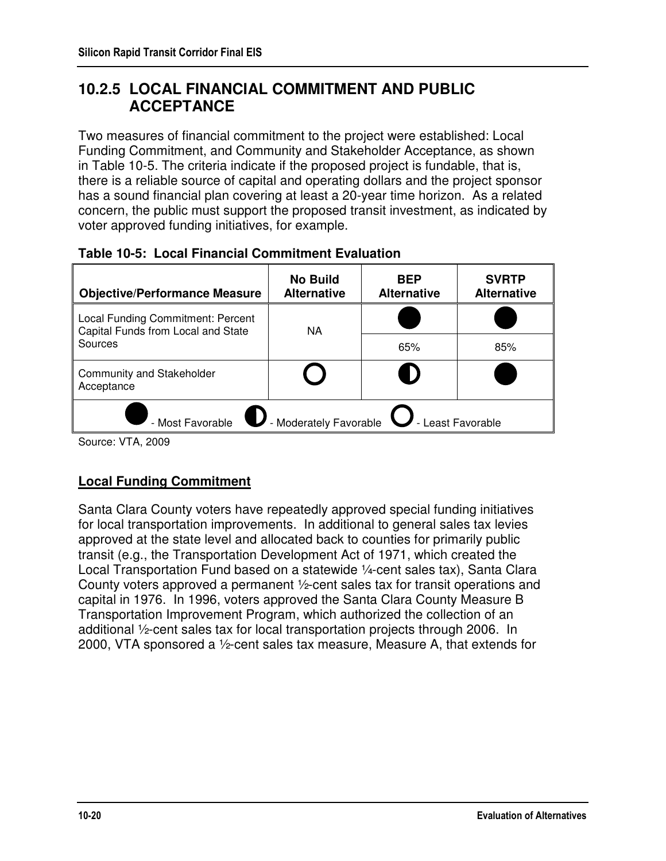## **10.2.5 LOCAL FINANCIAL COMMITMENT AND PUBLIC ACCEPTANCE**

Two measures of financial commitment to the project were established: Local Funding Commitment, and Community and Stakeholder Acceptance, as shown in Table 10-5. The criteria indicate if the proposed project is fundable, that is, there is a reliable source of capital and operating dollars and the project sponsor has a sound financial plan covering at least a 20-year time horizon. As a related concern, the public must support the proposed transit investment, as indicated by voter approved funding initiatives, for example.

| <b>Objective/Performance Measure</b>                                    | <b>No Build</b><br><b>Alternative</b> | <b>BEP</b><br><b>Alternative</b> | <b>SVRTP</b><br><b>Alternative</b> |
|-------------------------------------------------------------------------|---------------------------------------|----------------------------------|------------------------------------|
| Local Funding Commitment: Percent<br>Capital Funds from Local and State | <b>NA</b>                             |                                  |                                    |
| Sources                                                                 |                                       | 65%                              | 85%                                |
| <b>Community and Stakeholder</b><br>Acceptance                          |                                       |                                  |                                    |
| - Moderately Favorable<br>- Most Favorable<br>- Least Favorable         |                                       |                                  |                                    |

#### **Table 10-5: Local Financial Commitment Evaluation**

Source: VTA, 2009

## **Local Funding Commitment**

Santa Clara County voters have repeatedly approved special funding initiatives for local transportation improvements. In additional to general sales tax levies approved at the state level and allocated back to counties for primarily public transit (e.g., the Transportation Development Act of 1971, which created the Local Transportation Fund based on a statewide ¼-cent sales tax), Santa Clara County voters approved a permanent ½-cent sales tax for transit operations and capital in 1976. In 1996, voters approved the Santa Clara County Measure B Transportation Improvement Program, which authorized the collection of an additional ½-cent sales tax for local transportation projects through 2006. In 2000, VTA sponsored a ½-cent sales tax measure, Measure A, that extends for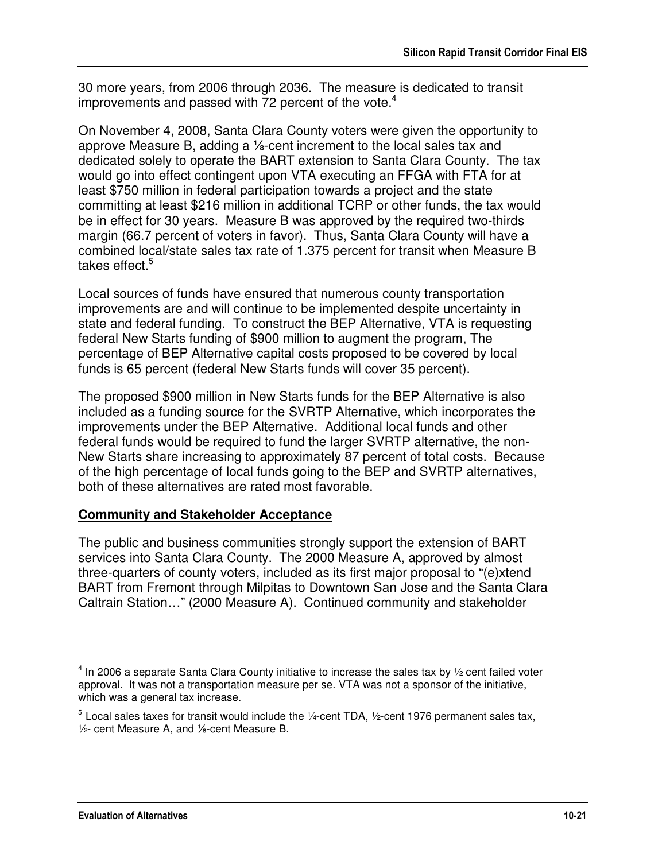30 more years, from 2006 through 2036. The measure is dedicated to transit improvements and passed with 72 percent of the vote.<sup>4</sup>

On November 4, 2008, Santa Clara County voters were given the opportunity to approve Measure B, adding a ⅛-cent increment to the local sales tax and dedicated solely to operate the BART extension to Santa Clara County. The tax would go into effect contingent upon VTA executing an FFGA with FTA for at least \$750 million in federal participation towards a project and the state committing at least \$216 million in additional TCRP or other funds, the tax would be in effect for 30 years. Measure B was approved by the required two-thirds margin (66.7 percent of voters in favor). Thus, Santa Clara County will have a combined local/state sales tax rate of 1.375 percent for transit when Measure B takes effect.<sup>5</sup>

Local sources of funds have ensured that numerous county transportation improvements are and will continue to be implemented despite uncertainty in state and federal funding. To construct the BEP Alternative, VTA is requesting federal New Starts funding of \$900 million to augment the program, The percentage of BEP Alternative capital costs proposed to be covered by local funds is 65 percent (federal New Starts funds will cover 35 percent).

The proposed \$900 million in New Starts funds for the BEP Alternative is also included as a funding source for the SVRTP Alternative, which incorporates the improvements under the BEP Alternative. Additional local funds and other federal funds would be required to fund the larger SVRTP alternative, the non-New Starts share increasing to approximately 87 percent of total costs. Because of the high percentage of local funds going to the BEP and SVRTP alternatives, both of these alternatives are rated most favorable.

### **Community and Stakeholder Acceptance**

The public and business communities strongly support the extension of BART services into Santa Clara County. The 2000 Measure A, approved by almost three-quarters of county voters, included as its first major proposal to "(e)xtend BART from Fremont through Milpitas to Downtown San Jose and the Santa Clara Caltrain Station…" (2000 Measure A). Continued community and stakeholder

<u>.</u>

 $<sup>4</sup>$  In 2006 a separate Santa Clara County initiative to increase the sales tax by 1/2 cent failed voter</sup> approval. It was not a transportation measure per se. VTA was not a sponsor of the initiative, which was a general tax increase.

 $5$  Local sales taxes for transit would include the 1⁄4-cent TDA, 1⁄2-cent 1976 permanent sales tax, ½- cent Measure A, and ⅛-cent Measure B.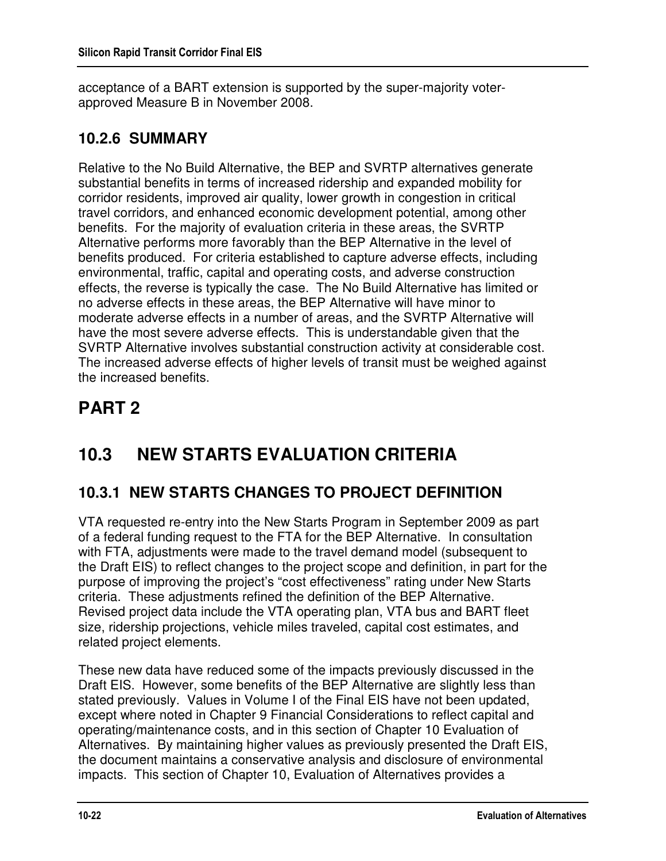acceptance of a BART extension is supported by the super-majority voterapproved Measure B in November 2008.

## **10.2.6 SUMMARY**

Relative to the No Build Alternative, the BEP and SVRTP alternatives generate substantial benefits in terms of increased ridership and expanded mobility for corridor residents, improved air quality, lower growth in congestion in critical travel corridors, and enhanced economic development potential, among other benefits. For the majority of evaluation criteria in these areas, the SVRTP Alternative performs more favorably than the BEP Alternative in the level of benefits produced. For criteria established to capture adverse effects, including environmental, traffic, capital and operating costs, and adverse construction effects, the reverse is typically the case. The No Build Alternative has limited or no adverse effects in these areas, the BEP Alternative will have minor to moderate adverse effects in a number of areas, and the SVRTP Alternative will have the most severe adverse effects. This is understandable given that the SVRTP Alternative involves substantial construction activity at considerable cost. The increased adverse effects of higher levels of transit must be weighed against the increased benefits.

# **PART 2**

# **10.3 NEW STARTS EVALUATION CRITERIA**

# **10.3.1 NEW STARTS CHANGES TO PROJECT DEFINITION**

VTA requested re-entry into the New Starts Program in September 2009 as part of a federal funding request to the FTA for the BEP Alternative. In consultation with FTA, adjustments were made to the travel demand model (subsequent to the Draft EIS) to reflect changes to the project scope and definition, in part for the purpose of improving the project's "cost effectiveness" rating under New Starts criteria. These adjustments refined the definition of the BEP Alternative. Revised project data include the VTA operating plan, VTA bus and BART fleet size, ridership projections, vehicle miles traveled, capital cost estimates, and related project elements.

These new data have reduced some of the impacts previously discussed in the Draft EIS. However, some benefits of the BEP Alternative are slightly less than stated previously. Values in Volume I of the Final EIS have not been updated, except where noted in Chapter 9 Financial Considerations to reflect capital and operating/maintenance costs, and in this section of Chapter 10 Evaluation of Alternatives. By maintaining higher values as previously presented the Draft EIS, the document maintains a conservative analysis and disclosure of environmental impacts. This section of Chapter 10, Evaluation of Alternatives provides a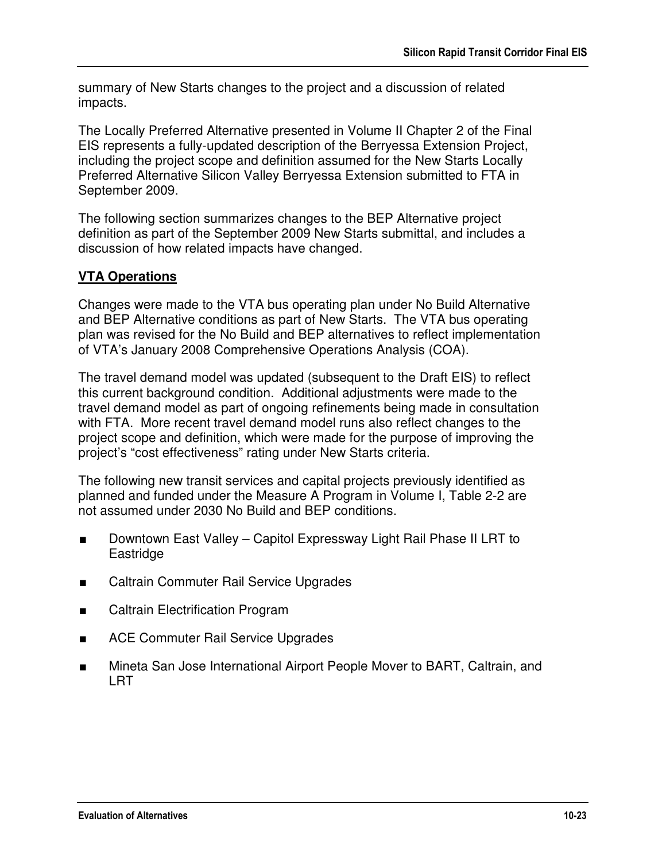summary of New Starts changes to the project and a discussion of related impacts.

The Locally Preferred Alternative presented in Volume II Chapter 2 of the Final EIS represents a fully-updated description of the Berryessa Extension Project, including the project scope and definition assumed for the New Starts Locally Preferred Alternative Silicon Valley Berryessa Extension submitted to FTA in September 2009.

The following section summarizes changes to the BEP Alternative project definition as part of the September 2009 New Starts submittal, and includes a discussion of how related impacts have changed.

## **VTA Operations**

Changes were made to the VTA bus operating plan under No Build Alternative and BEP Alternative conditions as part of New Starts. The VTA bus operating plan was revised for the No Build and BEP alternatives to reflect implementation of VTA's January 2008 Comprehensive Operations Analysis (COA).

The travel demand model was updated (subsequent to the Draft EIS) to reflect this current background condition. Additional adjustments were made to the travel demand model as part of ongoing refinements being made in consultation with FTA. More recent travel demand model runs also reflect changes to the project scope and definition, which were made for the purpose of improving the project's "cost effectiveness" rating under New Starts criteria.

The following new transit services and capital projects previously identified as planned and funded under the Measure A Program in Volume I, Table 2-2 are not assumed under 2030 No Build and BEP conditions.

- Downtown East Valley Capitol Expressway Light Rail Phase II LRT to Eastridge
- Caltrain Commuter Rail Service Upgrades
- Caltrain Electrification Program
- ACE Commuter Rail Service Upgrades
- Mineta San Jose International Airport People Mover to BART, Caltrain, and LRT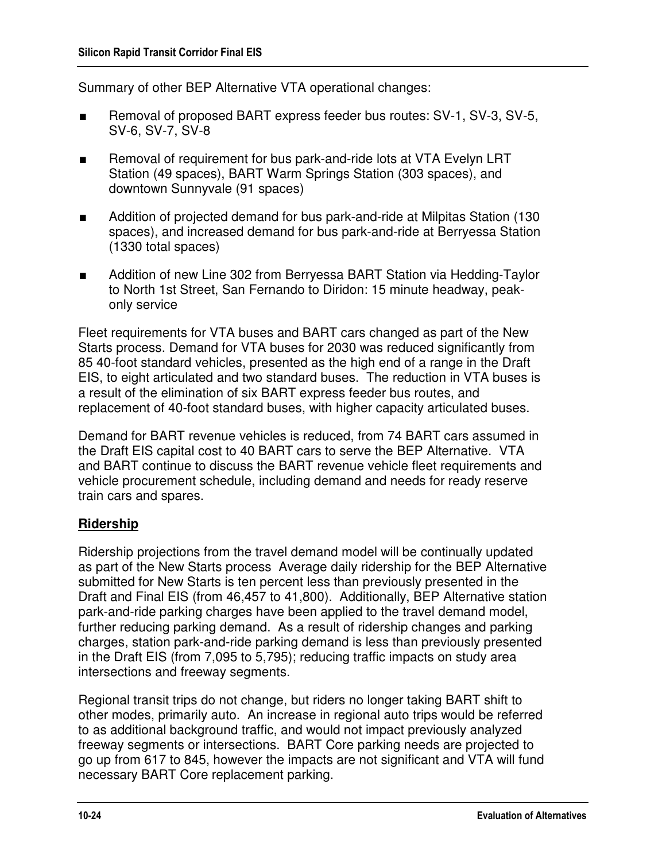Summary of other BEP Alternative VTA operational changes:

- Removal of proposed BART express feeder bus routes: SV-1, SV-3, SV-5, SV-6, SV-7, SV-8
- Removal of requirement for bus park-and-ride lots at VTA Evelyn LRT Station (49 spaces), BART Warm Springs Station (303 spaces), and downtown Sunnyvale (91 spaces)
- Addition of projected demand for bus park-and-ride at Milpitas Station (130 spaces), and increased demand for bus park-and-ride at Berryessa Station (1330 total spaces)
- Addition of new Line 302 from Berryessa BART Station via Hedding-Taylor to North 1st Street, San Fernando to Diridon: 15 minute headway, peakonly service

Fleet requirements for VTA buses and BART cars changed as part of the New Starts process. Demand for VTA buses for 2030 was reduced significantly from 85 40-foot standard vehicles, presented as the high end of a range in the Draft EIS, to eight articulated and two standard buses. The reduction in VTA buses is a result of the elimination of six BART express feeder bus routes, and replacement of 40-foot standard buses, with higher capacity articulated buses.

Demand for BART revenue vehicles is reduced, from 74 BART cars assumed in the Draft EIS capital cost to 40 BART cars to serve the BEP Alternative. VTA and BART continue to discuss the BART revenue vehicle fleet requirements and vehicle procurement schedule, including demand and needs for ready reserve train cars and spares.

### **Ridership**

Ridership projections from the travel demand model will be continually updated as part of the New Starts process Average daily ridership for the BEP Alternative submitted for New Starts is ten percent less than previously presented in the Draft and Final EIS (from 46,457 to 41,800). Additionally, BEP Alternative station park-and-ride parking charges have been applied to the travel demand model, further reducing parking demand. As a result of ridership changes and parking charges, station park-and-ride parking demand is less than previously presented in the Draft EIS (from 7,095 to 5,795); reducing traffic impacts on study area intersections and freeway segments.

Regional transit trips do not change, but riders no longer taking BART shift to other modes, primarily auto. An increase in regional auto trips would be referred to as additional background traffic, and would not impact previously analyzed freeway segments or intersections. BART Core parking needs are projected to go up from 617 to 845, however the impacts are not significant and VTA will fund necessary BART Core replacement parking.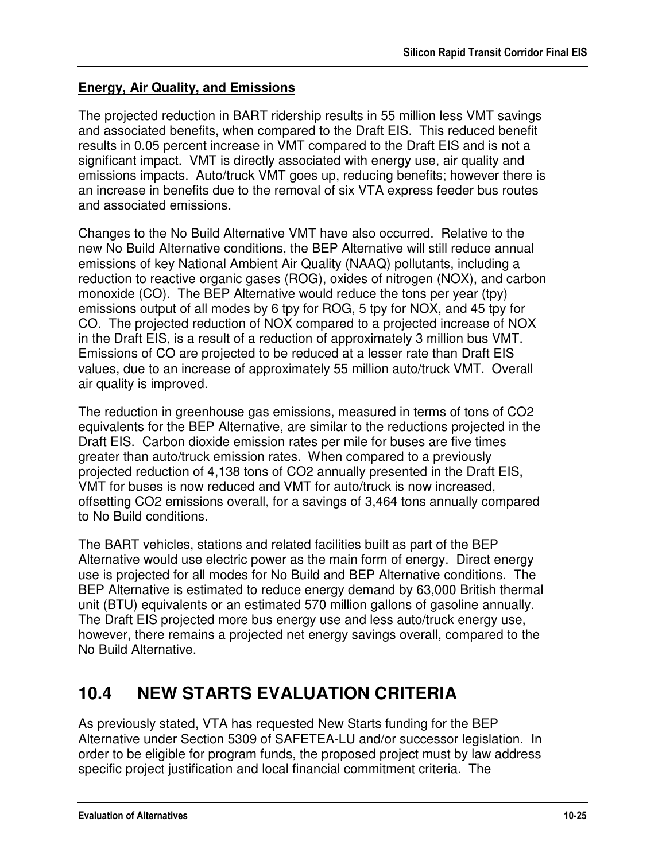## **Energy, Air Quality, and Emissions**

The projected reduction in BART ridership results in 55 million less VMT savings and associated benefits, when compared to the Draft EIS. This reduced benefit results in 0.05 percent increase in VMT compared to the Draft EIS and is not a significant impact. VMT is directly associated with energy use, air quality and emissions impacts. Auto/truck VMT goes up, reducing benefits; however there is an increase in benefits due to the removal of six VTA express feeder bus routes and associated emissions.

Changes to the No Build Alternative VMT have also occurred. Relative to the new No Build Alternative conditions, the BEP Alternative will still reduce annual emissions of key National Ambient Air Quality (NAAQ) pollutants, including a reduction to reactive organic gases (ROG), oxides of nitrogen (NOX), and carbon monoxide (CO). The BEP Alternative would reduce the tons per year (tpy) emissions output of all modes by 6 tpy for ROG, 5 tpy for NOX, and 45 tpy for CO. The projected reduction of NOX compared to a projected increase of NOX in the Draft EIS, is a result of a reduction of approximately 3 million bus VMT. Emissions of CO are projected to be reduced at a lesser rate than Draft EIS values, due to an increase of approximately 55 million auto/truck VMT. Overall air quality is improved.

The reduction in greenhouse gas emissions, measured in terms of tons of CO2 equivalents for the BEP Alternative, are similar to the reductions projected in the Draft EIS. Carbon dioxide emission rates per mile for buses are five times greater than auto/truck emission rates. When compared to a previously projected reduction of 4,138 tons of CO2 annually presented in the Draft EIS, VMT for buses is now reduced and VMT for auto/truck is now increased, offsetting CO2 emissions overall, for a savings of 3,464 tons annually compared to No Build conditions.

The BART vehicles, stations and related facilities built as part of the BEP Alternative would use electric power as the main form of energy. Direct energy use is projected for all modes for No Build and BEP Alternative conditions. The BEP Alternative is estimated to reduce energy demand by 63,000 British thermal unit (BTU) equivalents or an estimated 570 million gallons of gasoline annually. The Draft EIS projected more bus energy use and less auto/truck energy use, however, there remains a projected net energy savings overall, compared to the No Build Alternative.

# **10.4 NEW STARTS EVALUATION CRITERIA**

As previously stated, VTA has requested New Starts funding for the BEP Alternative under Section 5309 of SAFETEA-LU and/or successor legislation. In order to be eligible for program funds, the proposed project must by law address specific project justification and local financial commitment criteria. The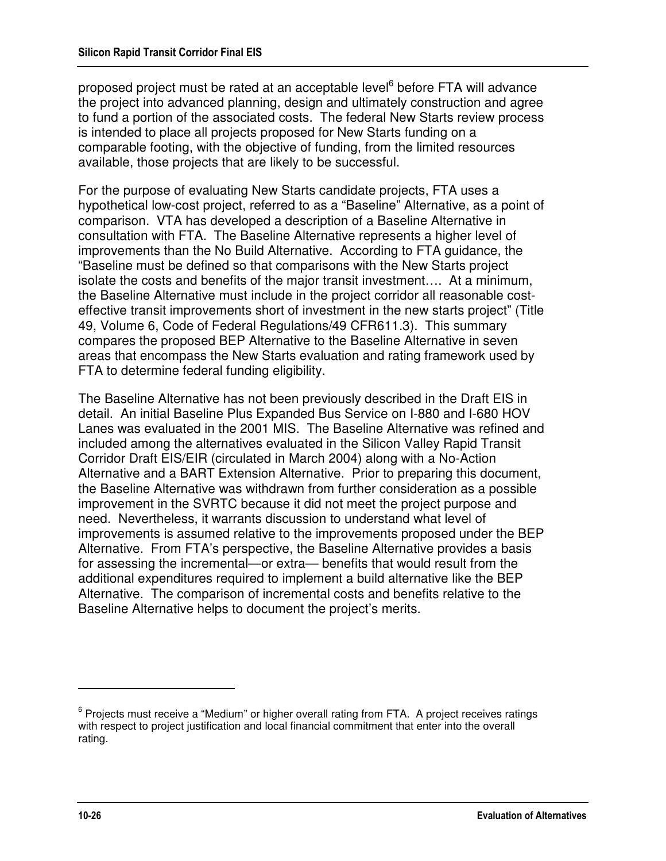proposed project must be rated at an acceptable level<sup>6</sup> before FTA will advance the project into advanced planning, design and ultimately construction and agree to fund a portion of the associated costs. The federal New Starts review process is intended to place all projects proposed for New Starts funding on a comparable footing, with the objective of funding, from the limited resources available, those projects that are likely to be successful.

For the purpose of evaluating New Starts candidate projects, FTA uses a hypothetical low-cost project, referred to as a "Baseline" Alternative, as a point of comparison. VTA has developed a description of a Baseline Alternative in consultation with FTA. The Baseline Alternative represents a higher level of improvements than the No Build Alternative. According to FTA guidance, the "Baseline must be defined so that comparisons with the New Starts project isolate the costs and benefits of the major transit investment…. At a minimum, the Baseline Alternative must include in the project corridor all reasonable costeffective transit improvements short of investment in the new starts project" (Title 49, Volume 6, Code of Federal Regulations/49 CFR611.3). This summary compares the proposed BEP Alternative to the Baseline Alternative in seven areas that encompass the New Starts evaluation and rating framework used by FTA to determine federal funding eligibility.

The Baseline Alternative has not been previously described in the Draft EIS in detail. An initial Baseline Plus Expanded Bus Service on I-880 and I-680 HOV Lanes was evaluated in the 2001 MIS. The Baseline Alternative was refined and included among the alternatives evaluated in the Silicon Valley Rapid Transit Corridor Draft EIS/EIR (circulated in March 2004) along with a No-Action Alternative and a BART Extension Alternative. Prior to preparing this document, the Baseline Alternative was withdrawn from further consideration as a possible improvement in the SVRTC because it did not meet the project purpose and need. Nevertheless, it warrants discussion to understand what level of improvements is assumed relative to the improvements proposed under the BEP Alternative. From FTA's perspective, the Baseline Alternative provides a basis for assessing the incremental—or extra— benefits that would result from the additional expenditures required to implement a build alternative like the BEP Alternative. The comparison of incremental costs and benefits relative to the Baseline Alternative helps to document the project's merits.

-

<sup>&</sup>lt;sup>6</sup> Projects must receive a "Medium" or higher overall rating from FTA. A project receives ratings with respect to project justification and local financial commitment that enter into the overall rating.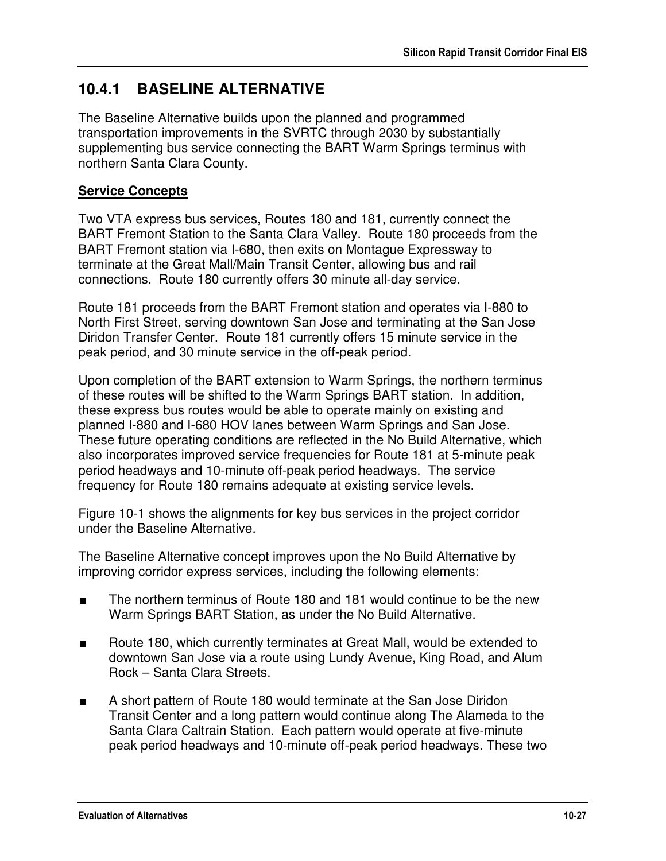# **10.4.1 BASELINE ALTERNATIVE**

The Baseline Alternative builds upon the planned and programmed transportation improvements in the SVRTC through 2030 by substantially supplementing bus service connecting the BART Warm Springs terminus with northern Santa Clara County.

#### **Service Concepts**

Two VTA express bus services, Routes 180 and 181, currently connect the BART Fremont Station to the Santa Clara Valley. Route 180 proceeds from the BART Fremont station via I-680, then exits on Montague Expressway to terminate at the Great Mall/Main Transit Center, allowing bus and rail connections. Route 180 currently offers 30 minute all-day service.

Route 181 proceeds from the BART Fremont station and operates via I-880 to North First Street, serving downtown San Jose and terminating at the San Jose Diridon Transfer Center. Route 181 currently offers 15 minute service in the peak period, and 30 minute service in the off-peak period.

Upon completion of the BART extension to Warm Springs, the northern terminus of these routes will be shifted to the Warm Springs BART station. In addition, these express bus routes would be able to operate mainly on existing and planned I-880 and I-680 HOV lanes between Warm Springs and San Jose. These future operating conditions are reflected in the No Build Alternative, which also incorporates improved service frequencies for Route 181 at 5-minute peak period headways and 10-minute off-peak period headways. The service frequency for Route 180 remains adequate at existing service levels.

Figure 10-1 shows the alignments for key bus services in the project corridor under the Baseline Alternative.

The Baseline Alternative concept improves upon the No Build Alternative by improving corridor express services, including the following elements:

- The northern terminus of Route 180 and 181 would continue to be the new Warm Springs BART Station, as under the No Build Alternative.
- Route 180, which currently terminates at Great Mall, would be extended to downtown San Jose via a route using Lundy Avenue, King Road, and Alum Rock – Santa Clara Streets.
- A short pattern of Route 180 would terminate at the San Jose Diridon Transit Center and a long pattern would continue along The Alameda to the Santa Clara Caltrain Station. Each pattern would operate at five-minute peak period headways and 10-minute off-peak period headways. These two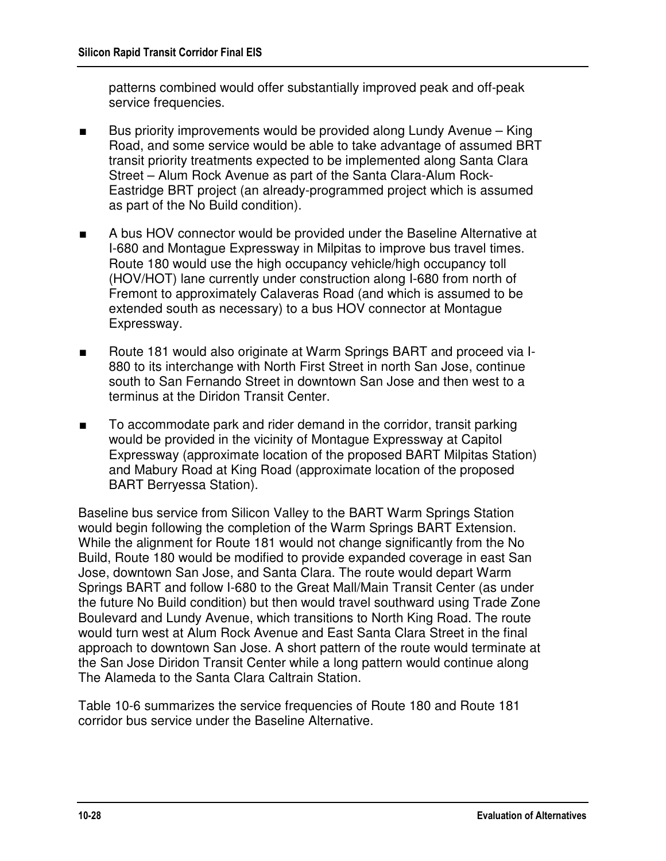patterns combined would offer substantially improved peak and off-peak service frequencies.

- Bus priority improvements would be provided along Lundy Avenue King Road, and some service would be able to take advantage of assumed BRT transit priority treatments expected to be implemented along Santa Clara Street – Alum Rock Avenue as part of the Santa Clara-Alum Rock-Eastridge BRT project (an already-programmed project which is assumed as part of the No Build condition).
- A bus HOV connector would be provided under the Baseline Alternative at I-680 and Montague Expressway in Milpitas to improve bus travel times. Route 180 would use the high occupancy vehicle/high occupancy toll (HOV/HOT) lane currently under construction along I-680 from north of Fremont to approximately Calaveras Road (and which is assumed to be extended south as necessary) to a bus HOV connector at Montague Expressway.
- Route 181 would also originate at Warm Springs BART and proceed via I-880 to its interchange with North First Street in north San Jose, continue south to San Fernando Street in downtown San Jose and then west to a terminus at the Diridon Transit Center.
- To accommodate park and rider demand in the corridor, transit parking would be provided in the vicinity of Montague Expressway at Capitol Expressway (approximate location of the proposed BART Milpitas Station) and Mabury Road at King Road (approximate location of the proposed BART Berryessa Station).

Baseline bus service from Silicon Valley to the BART Warm Springs Station would begin following the completion of the Warm Springs BART Extension. While the alignment for Route 181 would not change significantly from the No Build, Route 180 would be modified to provide expanded coverage in east San Jose, downtown San Jose, and Santa Clara. The route would depart Warm Springs BART and follow I-680 to the Great Mall/Main Transit Center (as under the future No Build condition) but then would travel southward using Trade Zone Boulevard and Lundy Avenue, which transitions to North King Road. The route would turn west at Alum Rock Avenue and East Santa Clara Street in the final approach to downtown San Jose. A short pattern of the route would terminate at the San Jose Diridon Transit Center while a long pattern would continue along The Alameda to the Santa Clara Caltrain Station.

Table 10-6 summarizes the service frequencies of Route 180 and Route 181 corridor bus service under the Baseline Alternative.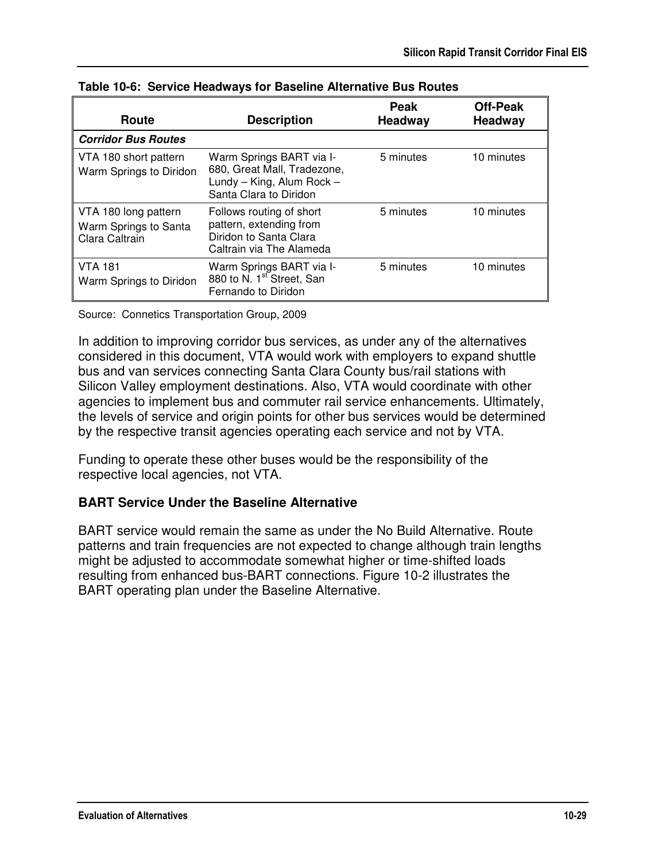| Route                                                           | <b>Description</b>                                                                                             | <b>Peak</b><br><b>Headway</b> | Off-Peak<br><b>Headway</b> |
|-----------------------------------------------------------------|----------------------------------------------------------------------------------------------------------------|-------------------------------|----------------------------|
| <b>Corridor Bus Routes</b>                                      |                                                                                                                |                               |                            |
| VTA 180 short pattern<br>Warm Springs to Diridon                | Warm Springs BART via I-<br>680, Great Mall, Tradezone,<br>Lundy - King, Alum Rock -<br>Santa Clara to Diridon | 5 minutes                     | 10 minutes                 |
| VTA 180 long pattern<br>Warm Springs to Santa<br>Clara Caltrain | Follows routing of short<br>pattern, extending from<br>Diridon to Santa Clara<br>Caltrain via The Alameda      | 5 minutes                     | 10 minutes                 |
| <b>VTA 181</b><br>Warm Springs to Diridon                       | Warm Springs BART via I-<br>880 to N. 1 <sup>st</sup> Street, San<br>Fernando to Diridon                       | 5 minutes                     | 10 minutes                 |

**Table 10-6: Service Headways for Baseline Alternative Bus Routes** 

Source: Connetics Transportation Group, 2009

In addition to improving corridor bus services, as under any of the alternatives considered in this document, VTA would work with employers to expand shuttle bus and van services connecting Santa Clara County bus/rail stations with Silicon Valley employment destinations. Also, VTA would coordinate with other agencies to implement bus and commuter rail service enhancements. Ultimately, the levels of service and origin points for other bus services would be determined by the respective transit agencies operating each service and not by VTA.

Funding to operate these other buses would be the responsibility of the respective local agencies, not VTA.

### **BART Service Under the Baseline Alternative**

BART service would remain the same as under the No Build Alternative. Route patterns and train frequencies are not expected to change although train lengths might be adjusted to accommodate somewhat higher or time-shifted loads resulting from enhanced bus-BART connections. Figure 10-2 illustrates the BART operating plan under the Baseline Alternative.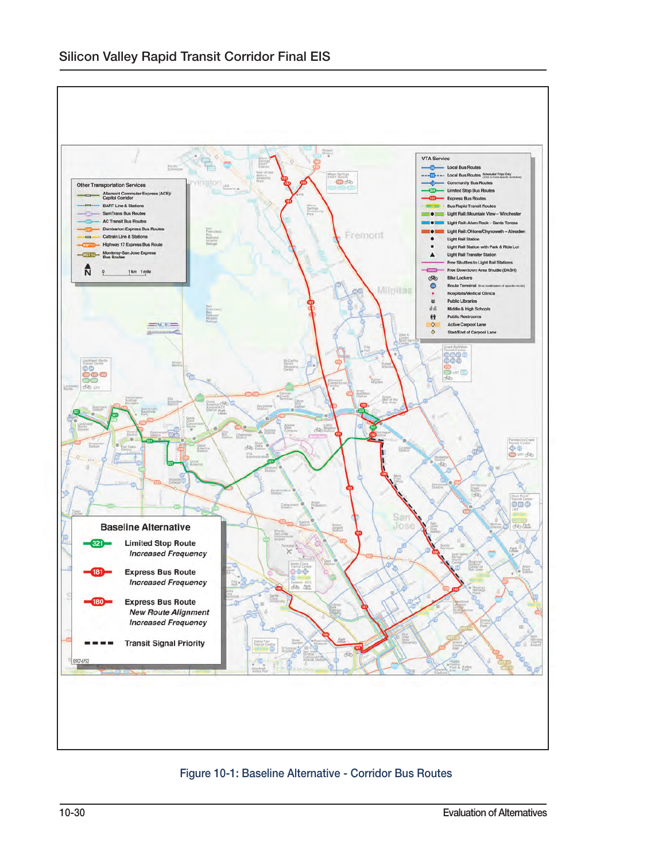

Figure 10-1: Baseline Alternative - Corridor Bus Routes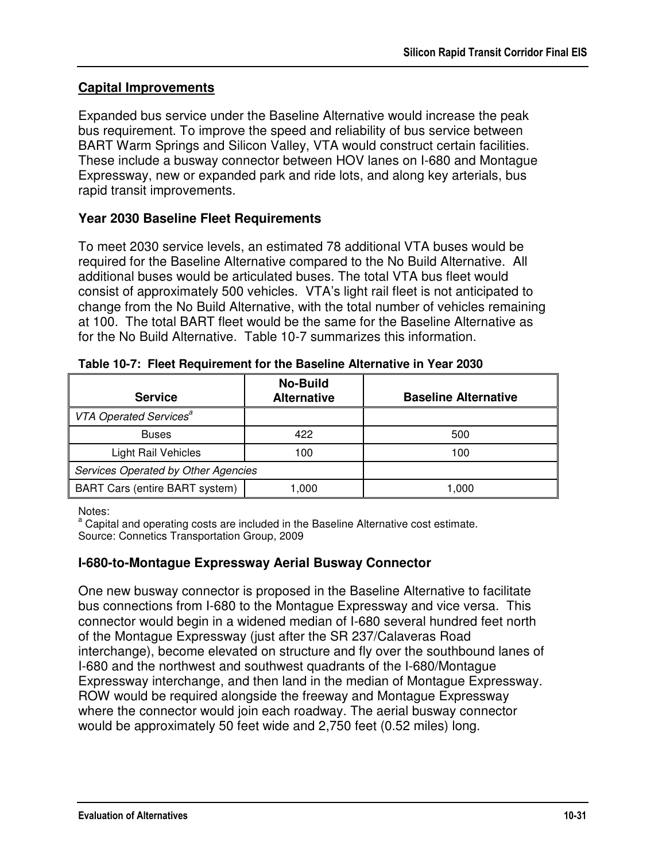### **Capital Improvements**

Expanded bus service under the Baseline Alternative would increase the peak bus requirement. To improve the speed and reliability of bus service between BART Warm Springs and Silicon Valley, VTA would construct certain facilities. These include a busway connector between HOV lanes on I-680 and Montague Expressway, new or expanded park and ride lots, and along key arterials, bus rapid transit improvements.

#### **Year 2030 Baseline Fleet Requirements**

To meet 2030 service levels, an estimated 78 additional VTA buses would be required for the Baseline Alternative compared to the No Build Alternative. All additional buses would be articulated buses. The total VTA bus fleet would consist of approximately 500 vehicles. VTA's light rail fleet is not anticipated to change from the No Build Alternative, with the total number of vehicles remaining at 100. The total BART fleet would be the same for the Baseline Alternative as for the No Build Alternative. Table 10-7 summarizes this information.

| <b>Service</b>                      | <b>No-Build</b><br><b>Alternative</b> | <b>Baseline Alternative</b> |
|-------------------------------------|---------------------------------------|-----------------------------|
| VTA Operated Services <sup>a</sup>  |                                       |                             |
| <b>Buses</b>                        | 422                                   | 500                         |
| <b>Light Rail Vehicles</b>          | 100                                   | 100                         |
| Services Operated by Other Agencies |                                       |                             |
| BART Cars (entire BART system)      | 1,000                                 | 1,000                       |

**Table 10-7: Fleet Requirement for the Baseline Alternative in Year 2030** 

Notes:

<sup>a</sup> Capital and operating costs are included in the Baseline Alternative cost estimate. Source: Connetics Transportation Group, 2009

#### **I-680-to-Montague Expressway Aerial Busway Connector**

One new busway connector is proposed in the Baseline Alternative to facilitate bus connections from I-680 to the Montague Expressway and vice versa. This connector would begin in a widened median of I-680 several hundred feet north of the Montague Expressway (just after the SR 237/Calaveras Road interchange), become elevated on structure and fly over the southbound lanes of I-680 and the northwest and southwest quadrants of the I-680/Montague Expressway interchange, and then land in the median of Montague Expressway. ROW would be required alongside the freeway and Montague Expressway where the connector would join each roadway. The aerial busway connector would be approximately 50 feet wide and 2,750 feet (0.52 miles) long.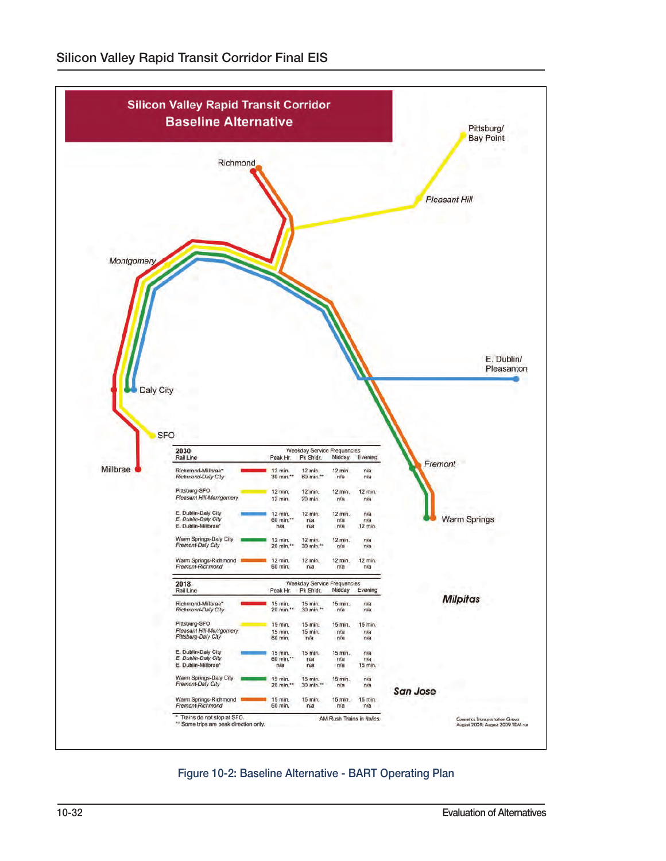

Figure 10-2: Baseline Alternative - BART Operating Plan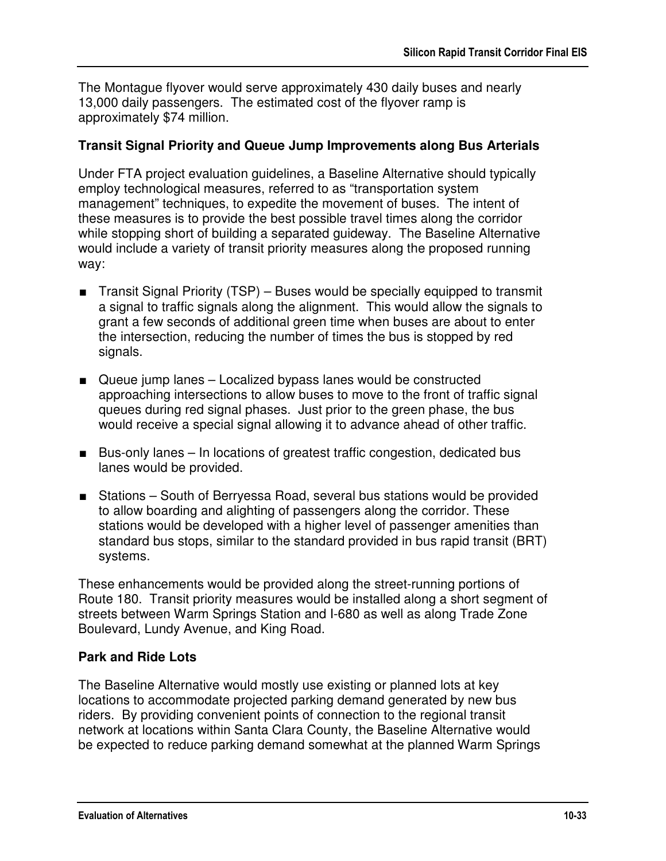The Montague flyover would serve approximately 430 daily buses and nearly 13,000 daily passengers. The estimated cost of the flyover ramp is approximately \$74 million.

#### **Transit Signal Priority and Queue Jump Improvements along Bus Arterials**

Under FTA project evaluation guidelines, a Baseline Alternative should typically employ technological measures, referred to as "transportation system management" techniques, to expedite the movement of buses. The intent of these measures is to provide the best possible travel times along the corridor while stopping short of building a separated guideway. The Baseline Alternative would include a variety of transit priority measures along the proposed running way:

- Transit Signal Priority (TSP) Buses would be specially equipped to transmit a signal to traffic signals along the alignment. This would allow the signals to grant a few seconds of additional green time when buses are about to enter the intersection, reducing the number of times the bus is stopped by red signals.
- Queue jump lanes Localized bypass lanes would be constructed approaching intersections to allow buses to move to the front of traffic signal queues during red signal phases. Just prior to the green phase, the bus would receive a special signal allowing it to advance ahead of other traffic.
- Bus-only lanes In locations of greatest traffic congestion, dedicated bus lanes would be provided.
- Stations South of Berryessa Road, several bus stations would be provided to allow boarding and alighting of passengers along the corridor. These stations would be developed with a higher level of passenger amenities than standard bus stops, similar to the standard provided in bus rapid transit (BRT) systems.

These enhancements would be provided along the street-running portions of Route 180. Transit priority measures would be installed along a short segment of streets between Warm Springs Station and I-680 as well as along Trade Zone Boulevard, Lundy Avenue, and King Road.

#### **Park and Ride Lots**

The Baseline Alternative would mostly use existing or planned lots at key locations to accommodate projected parking demand generated by new bus riders. By providing convenient points of connection to the regional transit network at locations within Santa Clara County, the Baseline Alternative would be expected to reduce parking demand somewhat at the planned Warm Springs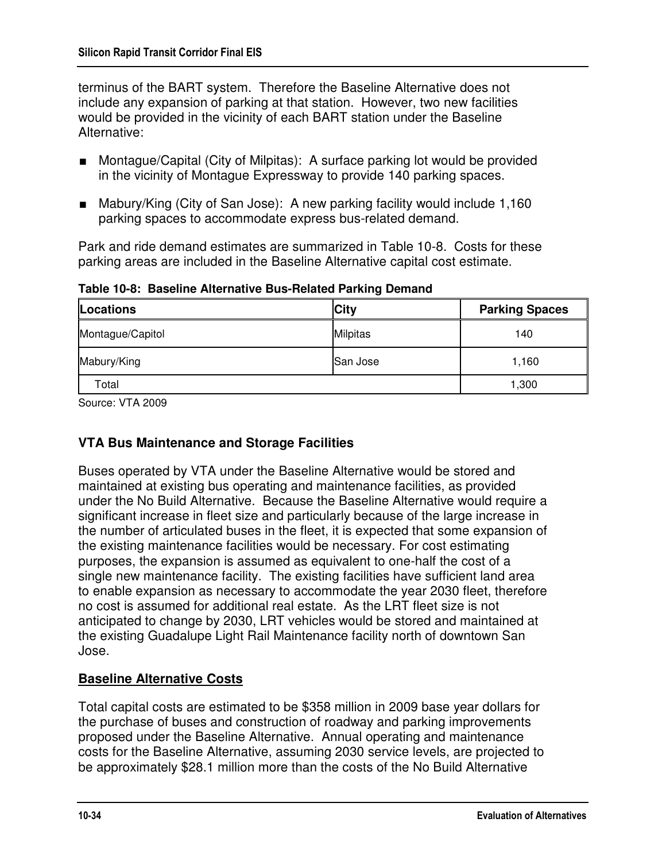terminus of the BART system. Therefore the Baseline Alternative does not include any expansion of parking at that station. However, two new facilities would be provided in the vicinity of each BART station under the Baseline Alternative:

- Montague/Capital (City of Milpitas): A surface parking lot would be provided in the vicinity of Montague Expressway to provide 140 parking spaces.
- Mabury/King (City of San Jose): A new parking facility would include 1,160 parking spaces to accommodate express bus-related demand.

Park and ride demand estimates are summarized in Table 10-8. Costs for these parking areas are included in the Baseline Alternative capital cost estimate.

| Locations        | <b>City</b>     | <b>Parking Spaces</b> |
|------------------|-----------------|-----------------------|
| Montague/Capitol | <b>Milpitas</b> | 140                   |
| Mabury/King      | San Jose        | 1,160                 |
| Total            |                 | 1,300                 |

**Table 10-8: Baseline Alternative Bus-Related Parking Demand** 

Source: VTA 2009

## **VTA Bus Maintenance and Storage Facilities**

Buses operated by VTA under the Baseline Alternative would be stored and maintained at existing bus operating and maintenance facilities, as provided under the No Build Alternative. Because the Baseline Alternative would require a significant increase in fleet size and particularly because of the large increase in the number of articulated buses in the fleet, it is expected that some expansion of the existing maintenance facilities would be necessary. For cost estimating purposes, the expansion is assumed as equivalent to one-half the cost of a single new maintenance facility. The existing facilities have sufficient land area to enable expansion as necessary to accommodate the year 2030 fleet, therefore no cost is assumed for additional real estate. As the LRT fleet size is not anticipated to change by 2030, LRT vehicles would be stored and maintained at the existing Guadalupe Light Rail Maintenance facility north of downtown San Jose.

### **Baseline Alternative Costs**

Total capital costs are estimated to be \$358 million in 2009 base year dollars for the purchase of buses and construction of roadway and parking improvements proposed under the Baseline Alternative. Annual operating and maintenance costs for the Baseline Alternative, assuming 2030 service levels, are projected to be approximately \$28.1 million more than the costs of the No Build Alternative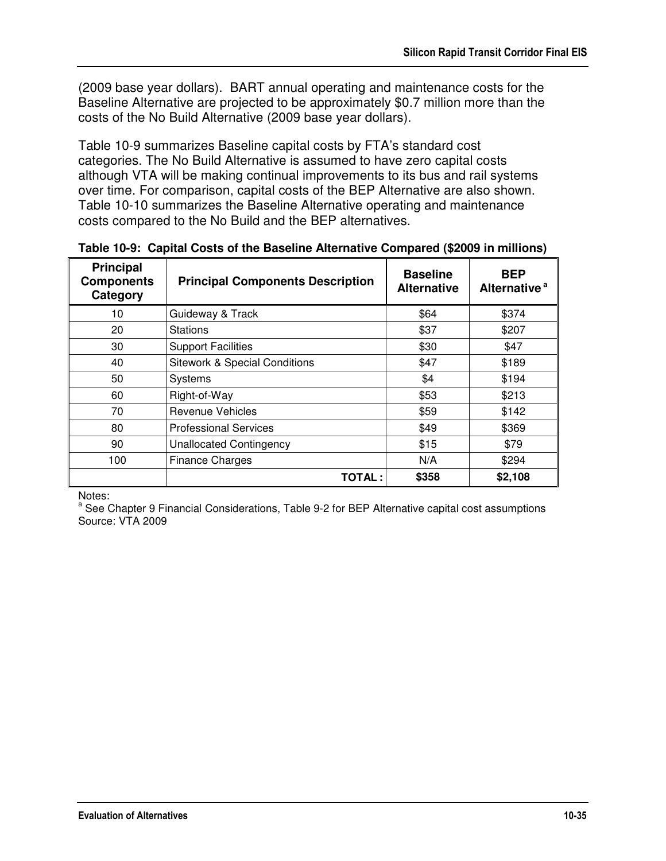(2009 base year dollars). BART annual operating and maintenance costs for the Baseline Alternative are projected to be approximately \$0.7 million more than the costs of the No Build Alternative (2009 base year dollars).

Table 10-9 summarizes Baseline capital costs by FTA's standard cost categories. The No Build Alternative is assumed to have zero capital costs although VTA will be making continual improvements to its bus and rail systems over time. For comparison, capital costs of the BEP Alternative are also shown. Table 10-10 summarizes the Baseline Alternative operating and maintenance costs compared to the No Build and the BEP alternatives.

| <b>Principal</b><br><b>Components</b><br>Category | <b>Principal Components Description</b>  | <b>Baseline</b><br><b>Alternative</b> | <b>BEP</b><br>Alternative <sup>a</sup> |
|---------------------------------------------------|------------------------------------------|---------------------------------------|----------------------------------------|
| 10                                                | Guideway & Track                         | \$64                                  | \$374                                  |
| 20                                                | <b>Stations</b>                          | \$37                                  | \$207                                  |
| 30                                                | <b>Support Facilities</b>                | \$30                                  | \$47                                   |
| 40                                                | <b>Sitework &amp; Special Conditions</b> | \$47                                  | \$189                                  |
| 50                                                | <b>Systems</b>                           | \$4                                   | \$194                                  |
| 60                                                | Right-of-Way                             | \$53                                  | \$213                                  |
| 70                                                | <b>Revenue Vehicles</b>                  | \$59                                  | \$142                                  |
| 80                                                | <b>Professional Services</b>             | \$49                                  | \$369                                  |
| 90                                                | Unallocated Contingency                  | \$15                                  | \$79                                   |
| 100                                               | <b>Finance Charges</b>                   | N/A                                   | \$294                                  |
|                                                   | <b>TOTAL:</b>                            | \$358                                 | \$2,108                                |

**Table 10-9: Capital Costs of the Baseline Alternative Compared (\$2009 in millions)** 

Notes:

<sup>a</sup> See Chapter 9 Financial Considerations, Table 9-2 for BEP Alternative capital cost assumptions Source: VTA 2009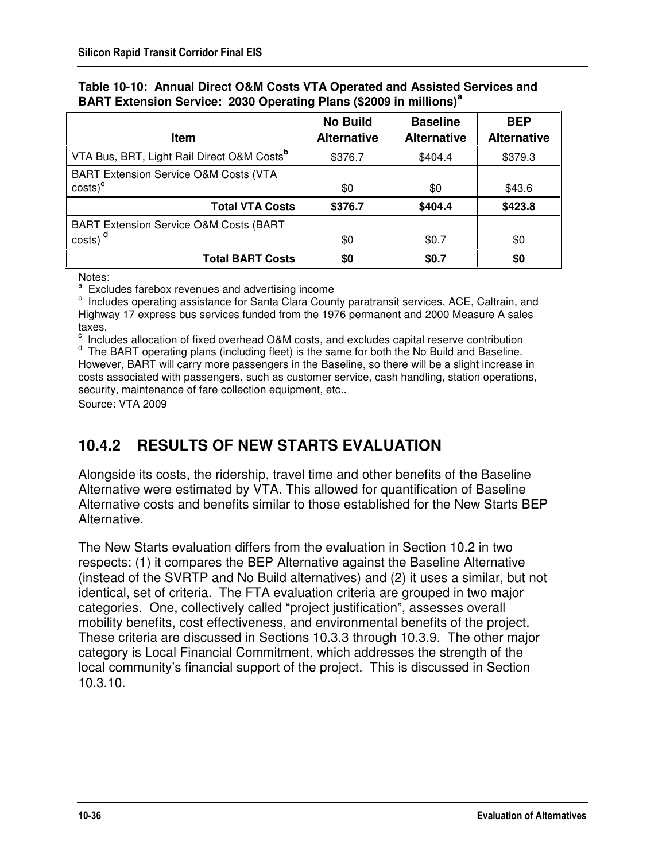| <b>Item</b>                                                    | <b>No Build</b><br><b>Alternative</b> | <b>Baseline</b><br><b>Alternative</b> | <b>BEP</b><br><b>Alternative</b> |
|----------------------------------------------------------------|---------------------------------------|---------------------------------------|----------------------------------|
| VTA Bus, BRT, Light Rail Direct O&M Costs <sup>b</sup>         | \$376.7                               | \$404.4                               | \$379.3                          |
| <b>BART Extension Service O&amp;M Costs (VTA</b><br>$costs)^c$ | \$0                                   | \$0                                   | \$43.6                           |
| <b>Total VTA Costs</b>                                         | \$376.7                               | \$404.4                               | \$423.8                          |
| <b>BART Extension Service O&amp;M Costs (BART</b>              |                                       |                                       |                                  |
| costs)                                                         | \$0                                   | \$0.7                                 | \$0                              |
| <b>Total BART Costs</b>                                        | \$0                                   | \$0.7                                 | \$0                              |

#### **Table 10-10: Annual Direct O&M Costs VTA Operated and Assisted Services and BART Extension Service: 2030 Operating Plans (\$2009 in millions)<sup>a</sup>**

Notes:

<sup>a</sup> Excludes farebox revenues and advertising income

**b** Includes operating assistance for Santa Clara County paratransit services, ACE, Caltrain, and Highway 17 express bus services funded from the 1976 permanent and 2000 Measure A sales taxes.

c Includes allocation of fixed overhead O&M costs, and excludes capital reserve contribution

<sup>d</sup> The BART operating plans (including fleet) is the same for both the No Build and Baseline. However, BART will carry more passengers in the Baseline, so there will be a slight increase in costs associated with passengers, such as customer service, cash handling, station operations, security, maintenance of fare collection equipment, etc..

Source: VTA 2009

# **10.4.2 RESULTS OF NEW STARTS EVALUATION**

Alongside its costs, the ridership, travel time and other benefits of the Baseline Alternative were estimated by VTA. This allowed for quantification of Baseline Alternative costs and benefits similar to those established for the New Starts BEP Alternative.

The New Starts evaluation differs from the evaluation in Section 10.2 in two respects: (1) it compares the BEP Alternative against the Baseline Alternative (instead of the SVRTP and No Build alternatives) and (2) it uses a similar, but not identical, set of criteria. The FTA evaluation criteria are grouped in two major categories. One, collectively called "project justification", assesses overall mobility benefits, cost effectiveness, and environmental benefits of the project. These criteria are discussed in Sections 10.3.3 through 10.3.9. The other major category is Local Financial Commitment, which addresses the strength of the local community's financial support of the project. This is discussed in Section 10.3.10.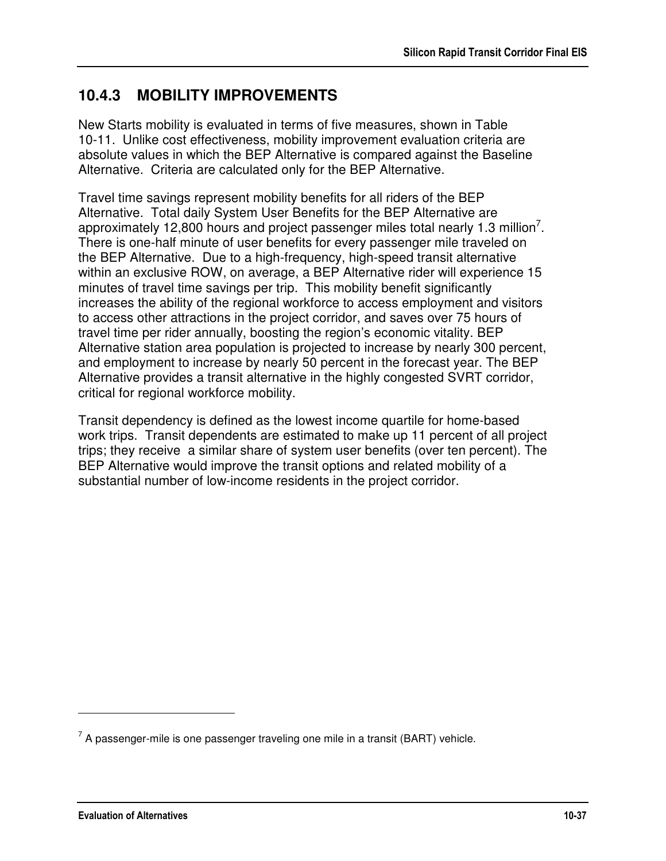## **10.4.3 MOBILITY IMPROVEMENTS**

New Starts mobility is evaluated in terms of five measures, shown in Table 10-11. Unlike cost effectiveness, mobility improvement evaluation criteria are absolute values in which the BEP Alternative is compared against the Baseline Alternative. Criteria are calculated only for the BEP Alternative.

Travel time savings represent mobility benefits for all riders of the BEP Alternative. Total daily System User Benefits for the BEP Alternative are approximately 12,800 hours and project passenger miles total nearly 1.3 million<sup>7</sup>. There is one-half minute of user benefits for every passenger mile traveled on the BEP Alternative. Due to a high-frequency, high-speed transit alternative within an exclusive ROW, on average, a BEP Alternative rider will experience 15 minutes of travel time savings per trip. This mobility benefit significantly increases the ability of the regional workforce to access employment and visitors to access other attractions in the project corridor, and saves over 75 hours of travel time per rider annually, boosting the region's economic vitality. BEP Alternative station area population is projected to increase by nearly 300 percent, and employment to increase by nearly 50 percent in the forecast year. The BEP Alternative provides a transit alternative in the highly congested SVRT corridor, critical for regional workforce mobility.

Transit dependency is defined as the lowest income quartile for home-based work trips. Transit dependents are estimated to make up 11 percent of all project trips; they receive a similar share of system user benefits (over ten percent). The BEP Alternative would improve the transit options and related mobility of a substantial number of low-income residents in the project corridor.

<u>.</u>

 $7$  A passenger-mile is one passenger traveling one mile in a transit (BART) vehicle.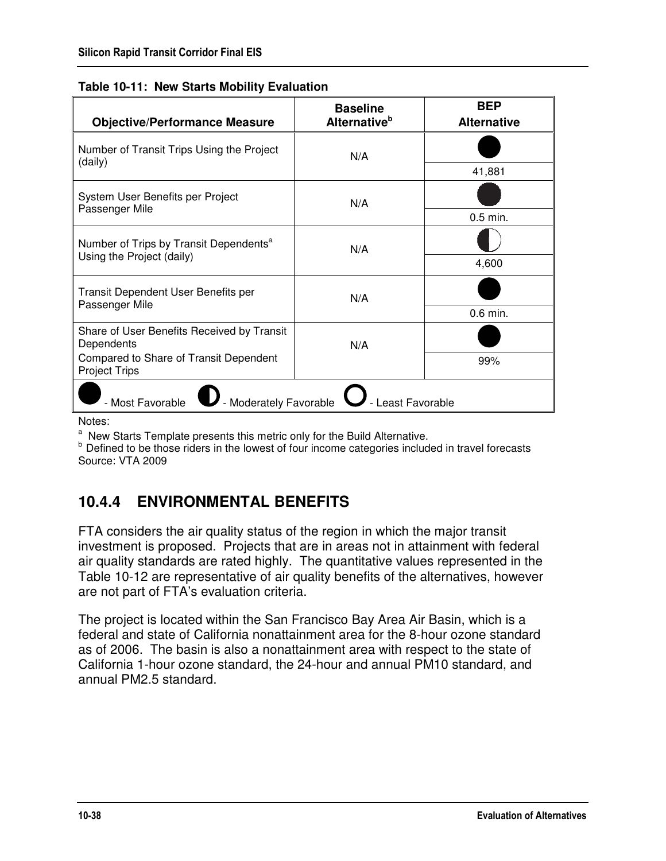| <b>Objective/Performance Measure</b>                           | <b>Baseline</b><br>Alternative <sup>b</sup> | <b>BEP</b><br><b>Alternative</b> |
|----------------------------------------------------------------|---------------------------------------------|----------------------------------|
| Number of Transit Trips Using the Project<br>(daily)           | N/A                                         |                                  |
|                                                                |                                             | 41,881                           |
| System User Benefits per Project<br>Passenger Mile             | N/A                                         |                                  |
|                                                                |                                             | $0.5$ min.                       |
| Number of Trips by Transit Dependents <sup>a</sup>             | N/A                                         |                                  |
| Using the Project (daily)                                      |                                             | 4,600                            |
| Transit Dependent User Benefits per<br>Passenger Mile          | N/A                                         |                                  |
|                                                                |                                             | $0.6$ min.                       |
| Share of User Benefits Received by Transit<br>Dependents       | N/A                                         |                                  |
| Compared to Share of Transit Dependent<br><b>Project Trips</b> |                                             | 99%                              |
| Moderately Favorable<br>Least Favorable<br>- Most Favorable    |                                             |                                  |

|  | Table 10-11: New Starts Mobility Evaluation |  |
|--|---------------------------------------------|--|
|--|---------------------------------------------|--|

Notes:

<sup>a</sup> New Starts Template presents this metric only for the Build Alternative.

b Defined to be those riders in the lowest of four income categories included in travel forecasts Source: VTA 2009

# **10.4.4 ENVIRONMENTAL BENEFITS**

FTA considers the air quality status of the region in which the major transit investment is proposed. Projects that are in areas not in attainment with federal air quality standards are rated highly. The quantitative values represented in the Table 10-12 are representative of air quality benefits of the alternatives, however are not part of FTA's evaluation criteria.

The project is located within the San Francisco Bay Area Air Basin, which is a federal and state of California nonattainment area for the 8-hour ozone standard as of 2006. The basin is also a nonattainment area with respect to the state of California 1-hour ozone standard, the 24-hour and annual PM10 standard, and annual PM2.5 standard.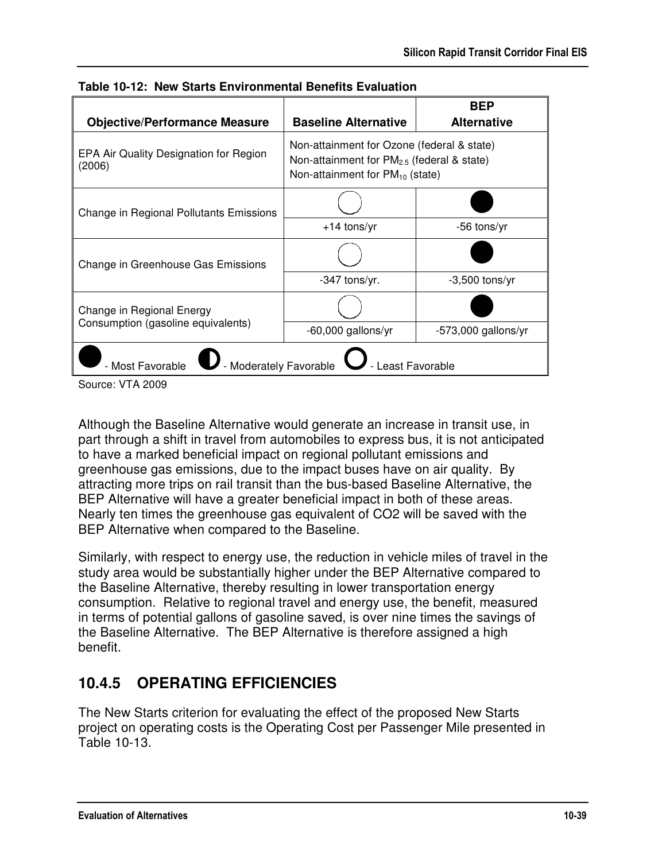| <b>Objective/Performance Measure</b>                            | <b>Baseline Alternative</b>                                                                                                                  | <b>BEP</b><br><b>Alternative</b> |
|-----------------------------------------------------------------|----------------------------------------------------------------------------------------------------------------------------------------------|----------------------------------|
| EPA Air Quality Designation for Region<br>(2006)                | Non-attainment for Ozone (federal & state)<br>Non-attainment for PM <sub>2.5</sub> (federal & state)<br>Non-attainment for $PM_{10}$ (state) |                                  |
| Change in Regional Pollutants Emissions                         |                                                                                                                                              |                                  |
|                                                                 | $+14$ tons/yr                                                                                                                                | -56 tons/yr                      |
| Change in Greenhouse Gas Emissions                              |                                                                                                                                              |                                  |
|                                                                 | -347 tons/yr.                                                                                                                                | $-3,500$ tons/yr                 |
| Change in Regional Energy                                       |                                                                                                                                              |                                  |
| Consumption (gasoline equivalents)                              | $-60,000$ gallons/yr                                                                                                                         | $-573,000$ gallons/yr            |
| - Moderately Favorable<br>- Most Favorable<br>- Least Favorable |                                                                                                                                              |                                  |

**Table 10-12: New Starts Environmental Benefits Evaluation** 

Although the Baseline Alternative would generate an increase in transit use, in part through a shift in travel from automobiles to express bus, it is not anticipated to have a marked beneficial impact on regional pollutant emissions and greenhouse gas emissions, due to the impact buses have on air quality. By attracting more trips on rail transit than the bus-based Baseline Alternative, the BEP Alternative will have a greater beneficial impact in both of these areas. Nearly ten times the greenhouse gas equivalent of CO2 will be saved with the BEP Alternative when compared to the Baseline.

Similarly, with respect to energy use, the reduction in vehicle miles of travel in the study area would be substantially higher under the BEP Alternative compared to the Baseline Alternative, thereby resulting in lower transportation energy consumption. Relative to regional travel and energy use, the benefit, measured in terms of potential gallons of gasoline saved, is over nine times the savings of the Baseline Alternative. The BEP Alternative is therefore assigned a high benefit.

# **10.4.5 OPERATING EFFICIENCIES**

The New Starts criterion for evaluating the effect of the proposed New Starts project on operating costs is the Operating Cost per Passenger Mile presented in Table 10-13.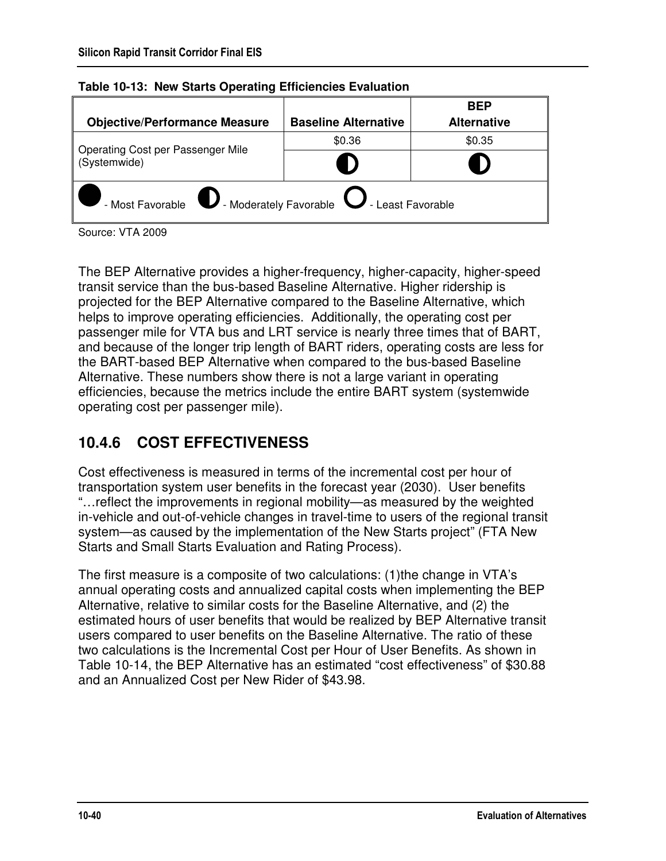|                                                                                 |                             | <b>BEP</b>         |
|---------------------------------------------------------------------------------|-----------------------------|--------------------|
| <b>Objective/Performance Measure</b>                                            | <b>Baseline Alternative</b> | <b>Alternative</b> |
|                                                                                 | \$0.36                      | \$0.35             |
| Operating Cost per Passenger Mile<br>Systemwide)                                |                             |                    |
| - Most Favorable $\bigcirc$ - Moderately Favorable $\bigcirc$ - Least Favorable |                             |                    |

| Table 10-13: New Starts Operating Efficiencies Evaluation |  |  |  |  |
|-----------------------------------------------------------|--|--|--|--|
|-----------------------------------------------------------|--|--|--|--|

The BEP Alternative provides a higher-frequency, higher-capacity, higher-speed transit service than the bus-based Baseline Alternative. Higher ridership is projected for the BEP Alternative compared to the Baseline Alternative, which helps to improve operating efficiencies. Additionally, the operating cost per passenger mile for VTA bus and LRT service is nearly three times that of BART, and because of the longer trip length of BART riders, operating costs are less for the BART-based BEP Alternative when compared to the bus-based Baseline Alternative. These numbers show there is not a large variant in operating efficiencies, because the metrics include the entire BART system (systemwide operating cost per passenger mile).

# **10.4.6 COST EFFECTIVENESS**

Cost effectiveness is measured in terms of the incremental cost per hour of transportation system user benefits in the forecast year (2030). User benefits "…reflect the improvements in regional mobility—as measured by the weighted in-vehicle and out-of-vehicle changes in travel-time to users of the regional transit system—as caused by the implementation of the New Starts project" (FTA New Starts and Small Starts Evaluation and Rating Process).

The first measure is a composite of two calculations: (1)the change in VTA's annual operating costs and annualized capital costs when implementing the BEP Alternative, relative to similar costs for the Baseline Alternative, and (2) the estimated hours of user benefits that would be realized by BEP Alternative transit users compared to user benefits on the Baseline Alternative. The ratio of these two calculations is the Incremental Cost per Hour of User Benefits. As shown in Table 10-14, the BEP Alternative has an estimated "cost effectiveness" of \$30.88 and an Annualized Cost per New Rider of \$43.98.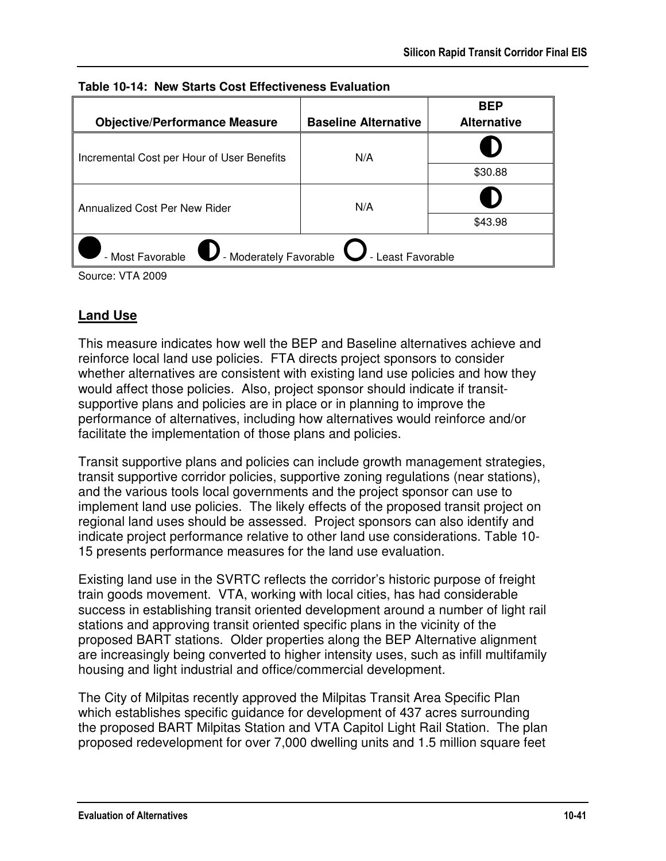| <b>Objective/Performance Measure</b>                                                         | <b>Baseline Alternative</b> | <b>BEP</b><br><b>Alternative</b> |  |
|----------------------------------------------------------------------------------------------|-----------------------------|----------------------------------|--|
| Incremental Cost per Hour of User Benefits                                                   | N/A                         |                                  |  |
|                                                                                              |                             | \$30.88                          |  |
| Annualized Cost Per New Rider                                                                | N/A                         |                                  |  |
|                                                                                              |                             | \$43.98                          |  |
| - Most Favorable<br>$\blacktriangleright$ - Moderately Favorable $\bigcup$ - Least Favorable |                             |                                  |  |

|  |  | Table 10-14: New Starts Cost Effectiveness Evaluation |  |
|--|--|-------------------------------------------------------|--|
|--|--|-------------------------------------------------------|--|

### **Land Use**

This measure indicates how well the BEP and Baseline alternatives achieve and reinforce local land use policies. FTA directs project sponsors to consider whether alternatives are consistent with existing land use policies and how they would affect those policies. Also, project sponsor should indicate if transitsupportive plans and policies are in place or in planning to improve the performance of alternatives, including how alternatives would reinforce and/or facilitate the implementation of those plans and policies.

Transit supportive plans and policies can include growth management strategies, transit supportive corridor policies, supportive zoning regulations (near stations), and the various tools local governments and the project sponsor can use to implement land use policies. The likely effects of the proposed transit project on regional land uses should be assessed. Project sponsors can also identify and indicate project performance relative to other land use considerations. Table 10- 15 presents performance measures for the land use evaluation.

Existing land use in the SVRTC reflects the corridor's historic purpose of freight train goods movement. VTA, working with local cities, has had considerable success in establishing transit oriented development around a number of light rail stations and approving transit oriented specific plans in the vicinity of the proposed BART stations. Older properties along the BEP Alternative alignment are increasingly being converted to higher intensity uses, such as infill multifamily housing and light industrial and office/commercial development.

The City of Milpitas recently approved the Milpitas Transit Area Specific Plan which establishes specific guidance for development of 437 acres surrounding the proposed BART Milpitas Station and VTA Capitol Light Rail Station. The plan proposed redevelopment for over 7,000 dwelling units and 1.5 million square feet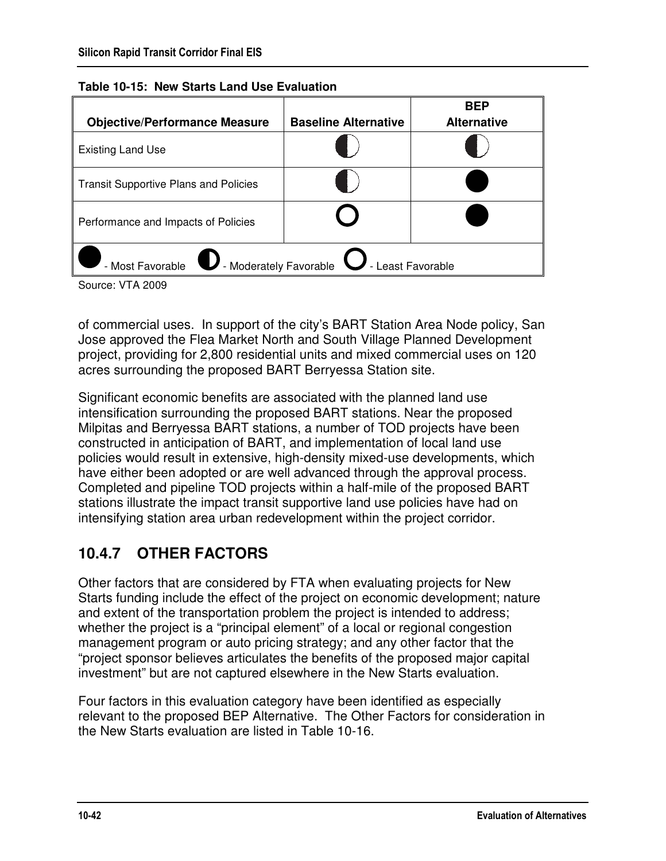| <b>Objective/Performance Measure</b>                                                         | <b>Baseline Alternative</b> | <b>BEP</b><br><b>Alternative</b> |  |
|----------------------------------------------------------------------------------------------|-----------------------------|----------------------------------|--|
| <b>Existing Land Use</b>                                                                     |                             |                                  |  |
| <b>Transit Supportive Plans and Policies</b>                                                 |                             |                                  |  |
| Performance and Impacts of Policies                                                          |                             |                                  |  |
| $\mathbf D$ - Moderately Favorable $\mathbf \cup$ - Least Favorable<br>.<br>- Most Favorable |                             |                                  |  |

| Table 10-15: New Starts Land Use Evaluation |  |  |  |
|---------------------------------------------|--|--|--|
|---------------------------------------------|--|--|--|

of commercial uses. In support of the city's BART Station Area Node policy, San Jose approved the Flea Market North and South Village Planned Development project, providing for 2,800 residential units and mixed commercial uses on 120 acres surrounding the proposed BART Berryessa Station site.

Significant economic benefits are associated with the planned land use intensification surrounding the proposed BART stations. Near the proposed Milpitas and Berryessa BART stations, a number of TOD projects have been constructed in anticipation of BART, and implementation of local land use policies would result in extensive, high-density mixed-use developments, which have either been adopted or are well advanced through the approval process. Completed and pipeline TOD projects within a half-mile of the proposed BART stations illustrate the impact transit supportive land use policies have had on intensifying station area urban redevelopment within the project corridor.

# **10.4.7 OTHER FACTORS**

Other factors that are considered by FTA when evaluating projects for New Starts funding include the effect of the project on economic development; nature and extent of the transportation problem the project is intended to address; whether the project is a "principal element" of a local or regional congestion management program or auto pricing strategy; and any other factor that the "project sponsor believes articulates the benefits of the proposed major capital investment" but are not captured elsewhere in the New Starts evaluation.

Four factors in this evaluation category have been identified as especially relevant to the proposed BEP Alternative. The Other Factors for consideration in the New Starts evaluation are listed in Table 10-16.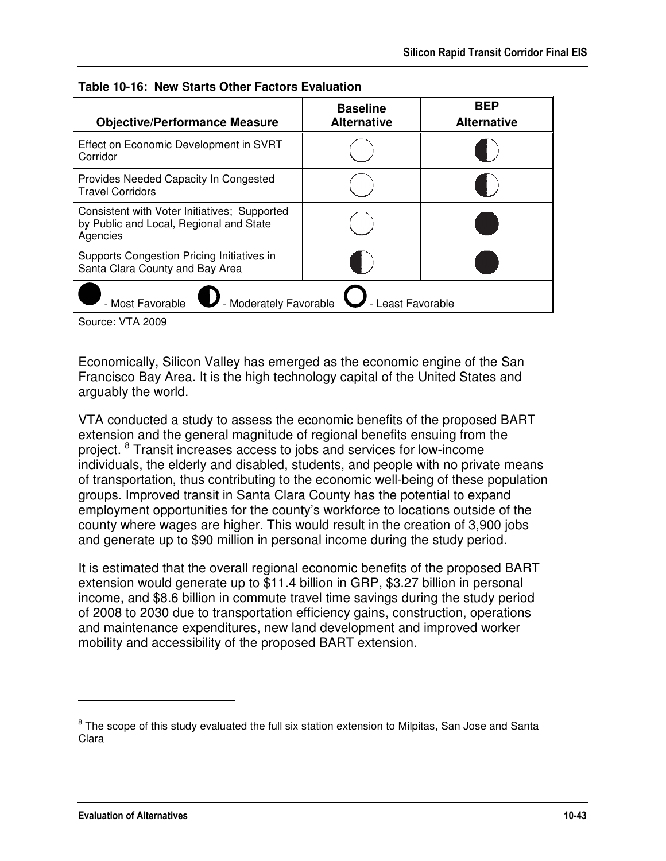| <b>Objective/Performance Measure</b>                                                                | <b>Baseline</b><br><b>Alternative</b> | <b>BEP</b><br><b>Alternative</b> |
|-----------------------------------------------------------------------------------------------------|---------------------------------------|----------------------------------|
| Effect on Economic Development in SVRT<br>Corridor                                                  |                                       |                                  |
| Provides Needed Capacity In Congested<br><b>Travel Corridors</b>                                    |                                       |                                  |
| Consistent with Voter Initiatives; Supported<br>by Public and Local, Regional and State<br>Agencies |                                       |                                  |
| Supports Congestion Pricing Initiatives in<br>Santa Clara County and Bay Area                       |                                       |                                  |
| .<br>Favorable - Moderately Favorable<br>- Most Favorable<br>- Least Favorable                      |                                       |                                  |

**Table 10-16: New Starts Other Factors Evaluation** 

Economically, Silicon Valley has emerged as the economic engine of the San Francisco Bay Area. It is the high technology capital of the United States and arguably the world.

VTA conducted a study to assess the economic benefits of the proposed BART extension and the general magnitude of regional benefits ensuing from the project. <sup>8</sup> Transit increases access to jobs and services for low-income individuals, the elderly and disabled, students, and people with no private means of transportation, thus contributing to the economic well-being of these population groups. Improved transit in Santa Clara County has the potential to expand employment opportunities for the county's workforce to locations outside of the county where wages are higher. This would result in the creation of 3,900 jobs and generate up to \$90 million in personal income during the study period.

It is estimated that the overall regional economic benefits of the proposed BART extension would generate up to \$11.4 billion in GRP, \$3.27 billion in personal income, and \$8.6 billion in commute travel time savings during the study period of 2008 to 2030 due to transportation efficiency gains, construction, operations and maintenance expenditures, new land development and improved worker mobility and accessibility of the proposed BART extension.

<u>.</u>

 $8$  The scope of this study evaluated the full six station extension to Milpitas, San Jose and Santa Clara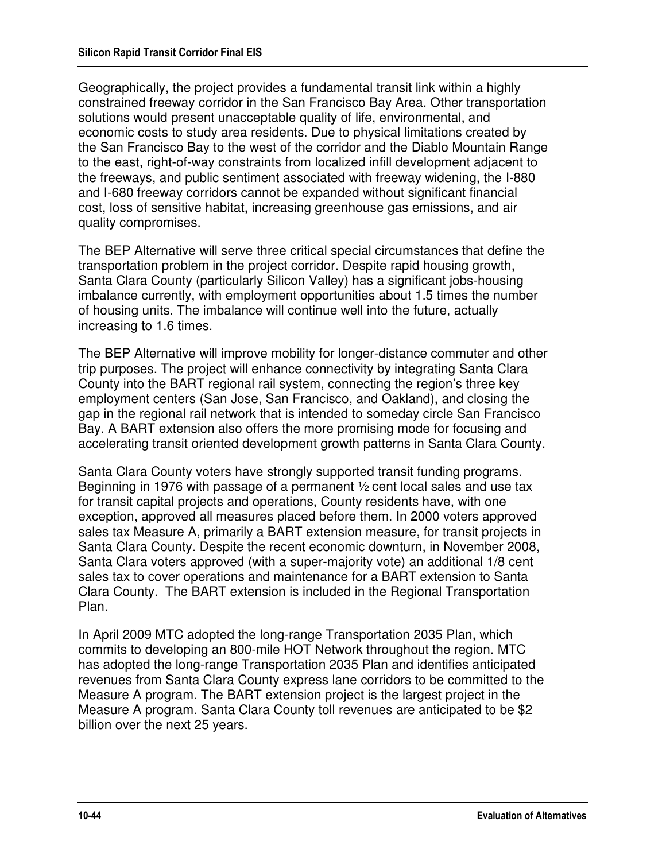Geographically, the project provides a fundamental transit link within a highly constrained freeway corridor in the San Francisco Bay Area. Other transportation solutions would present unacceptable quality of life, environmental, and economic costs to study area residents. Due to physical limitations created by the San Francisco Bay to the west of the corridor and the Diablo Mountain Range to the east, right-of-way constraints from localized infill development adjacent to the freeways, and public sentiment associated with freeway widening, the I-880 and I-680 freeway corridors cannot be expanded without significant financial cost, loss of sensitive habitat, increasing greenhouse gas emissions, and air quality compromises.

The BEP Alternative will serve three critical special circumstances that define the transportation problem in the project corridor. Despite rapid housing growth, Santa Clara County (particularly Silicon Valley) has a significant jobs-housing imbalance currently, with employment opportunities about 1.5 times the number of housing units. The imbalance will continue well into the future, actually increasing to 1.6 times.

The BEP Alternative will improve mobility for longer-distance commuter and other trip purposes. The project will enhance connectivity by integrating Santa Clara County into the BART regional rail system, connecting the region's three key employment centers (San Jose, San Francisco, and Oakland), and closing the gap in the regional rail network that is intended to someday circle San Francisco Bay. A BART extension also offers the more promising mode for focusing and accelerating transit oriented development growth patterns in Santa Clara County.

Santa Clara County voters have strongly supported transit funding programs. Beginning in 1976 with passage of a permanent ½ cent local sales and use tax for transit capital projects and operations, County residents have, with one exception, approved all measures placed before them. In 2000 voters approved sales tax Measure A, primarily a BART extension measure, for transit projects in Santa Clara County. Despite the recent economic downturn, in November 2008, Santa Clara voters approved (with a super-majority vote) an additional 1/8 cent sales tax to cover operations and maintenance for a BART extension to Santa Clara County. The BART extension is included in the Regional Transportation Plan.

In April 2009 MTC adopted the long-range Transportation 2035 Plan, which commits to developing an 800-mile HOT Network throughout the region. MTC has adopted the long-range Transportation 2035 Plan and identifies anticipated revenues from Santa Clara County express lane corridors to be committed to the Measure A program. The BART extension project is the largest project in the Measure A program. Santa Clara County toll revenues are anticipated to be \$2 billion over the next 25 years.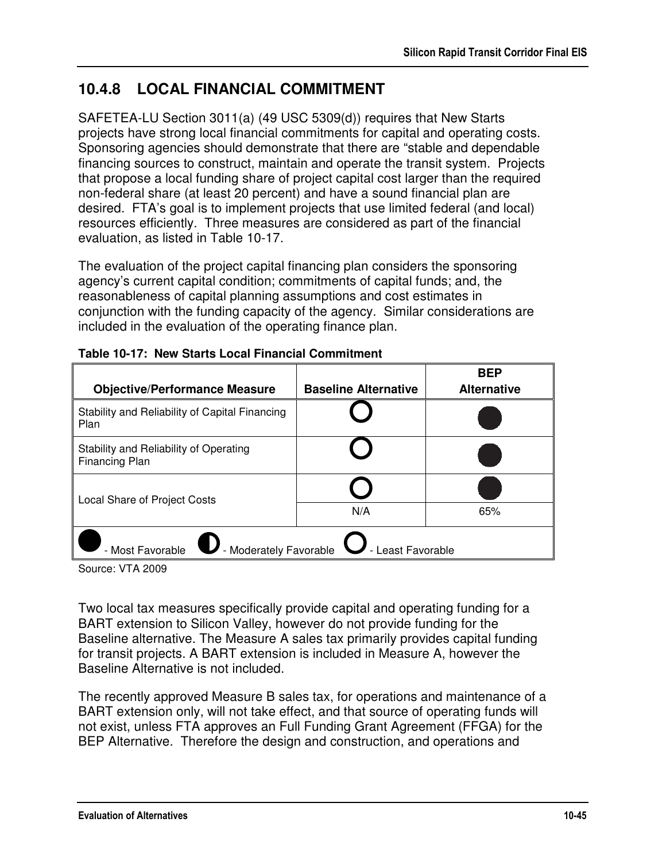# **10.4.8 LOCAL FINANCIAL COMMITMENT**

SAFETEA-LU Section 3011(a) (49 USC 5309(d)) requires that New Starts projects have strong local financial commitments for capital and operating costs. Sponsoring agencies should demonstrate that there are "stable and dependable financing sources to construct, maintain and operate the transit system. Projects that propose a local funding share of project capital cost larger than the required non-federal share (at least 20 percent) and have a sound financial plan are desired. FTA's goal is to implement projects that use limited federal (and local) resources efficiently. Three measures are considered as part of the financial evaluation, as listed in Table 10-17.

The evaluation of the project capital financing plan considers the sponsoring agency's current capital condition; commitments of capital funds; and, the reasonableness of capital planning assumptions and cost estimates in conjunction with the funding capacity of the agency. Similar considerations are included in the evaluation of the operating finance plan.

| <b>Objective/Performance Measure</b>                            | <b>Baseline Alternative</b> | <b>BEP</b><br><b>Alternative</b> |  |
|-----------------------------------------------------------------|-----------------------------|----------------------------------|--|
| Stability and Reliability of Capital Financing<br>Plan          |                             |                                  |  |
| Stability and Reliability of Operating<br>Financing Plan        |                             |                                  |  |
| Local Share of Project Costs                                    |                             |                                  |  |
|                                                                 | N/A                         | 65%                              |  |
| - Moderately Favorable<br>- Most Favorable<br>- Least Favorable |                             |                                  |  |

| Table 10-17: New Starts Local Financial Commitment |  |  |  |  |
|----------------------------------------------------|--|--|--|--|
|----------------------------------------------------|--|--|--|--|

Source: VTA 2009

Two local tax measures specifically provide capital and operating funding for a BART extension to Silicon Valley, however do not provide funding for the Baseline alternative. The Measure A sales tax primarily provides capital funding for transit projects. A BART extension is included in Measure A, however the Baseline Alternative is not included.

The recently approved Measure B sales tax, for operations and maintenance of a BART extension only, will not take effect, and that source of operating funds will not exist, unless FTA approves an Full Funding Grant Agreement (FFGA) for the BEP Alternative. Therefore the design and construction, and operations and